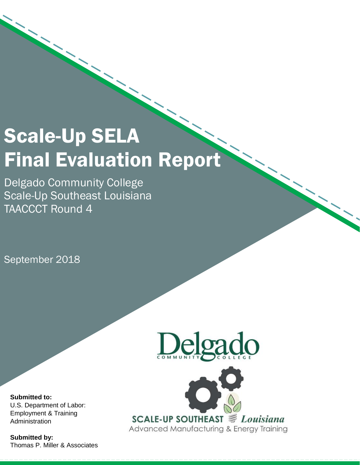# Scale-Up SELA Final Evaluation Report

Delgado Community College Scale-Up Southeast Louisiana TAACCCT Round 4

September 2018



**Submitted to:**  U.S. Department of Labor: Employment & Training Administration

**Submitted by:**  Thomas P. Miller & Associates



 $\overline{\phantom{a}}$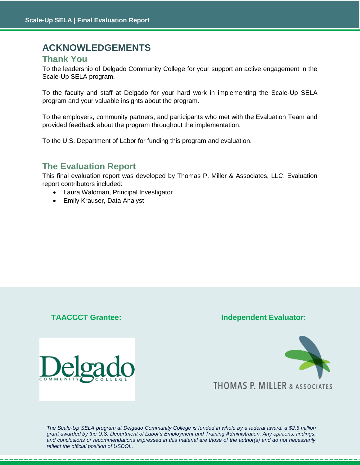## **ACKNOWLEDGEMENTS**

## **Thank You**

To the leadership of Delgado Community College for your support an active engagement in the Scale-Up SELA program.

To the faculty and staff at Delgado for your hard work in implementing the Scale-Up SELA program and your valuable insights about the program.

To the employers, community partners, and participants who met with the Evaluation Team and provided feedback about the program throughout the implementation.

To the U.S. Department of Labor for funding this program and evaluation.

## **The Evaluation Report**

This final evaluation report was developed by Thomas P. Miller & Associates, LLC. Evaluation report contributors included:

- Laura Waldman, Principal Investigator
- Emily Krauser, Data Analyst

## **TAACCCT Grantee: Independent Evaluator:**





grant awarded by the U.S. Department of Labor's Employment and Training Administration. Any opinions, findings, *The Scale-Up SELA program at Delgado Community College is funded in whole by a federal award: a \$2.5 million and conclusions or recommendations expressed in this material are those of the author(s) and do not necessarily reflect the official position of USDOL.*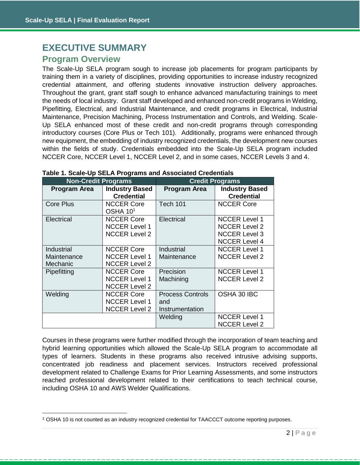$\overline{a}$ 

## <span id="page-2-0"></span>**EXECUTIVE SUMMARY Program Overview**

The Scale-Up SELA program sough to increase job placements for program participants by training them in a variety of disciplines, providing opportunities to increase industry recognized credential attainment, and offering students innovative instruction delivery approaches. Throughout the grant, grant staff sough to enhance advanced manufacturing trainings to meet the needs of local industry. Grant staff developed and enhanced non-credit programs in Welding, Pipefitting, Electrical, and Industrial Maintenance, and credit programs in Electrical, Industrial Maintenance, Precision Machining, Process Instrumentation and Controls, and Welding. Scale-Up SELA enhanced most of these credit and non-credit programs through corresponding introductory courses (Core Plus or Tech 101). Additionally, programs were enhanced through new equipment, the embedding of industry recognized credentials, the development new courses within the fields of study. Credentials embedded into the Scale-Up SELA program included NCCER Core, NCCER Level 1, NCCER Level 2, and in some cases, NCCER Levels 3 and 4.

| <b>Non-Credit Programs</b>            |                                                                   | <b>Credit Programs</b>                            |                                                                                              |  |
|---------------------------------------|-------------------------------------------------------------------|---------------------------------------------------|----------------------------------------------------------------------------------------------|--|
| <b>Program Area</b>                   | <b>Industry Based</b><br><b>Credential</b>                        | <b>Program Area</b>                               | <b>Industry Based</b><br><b>Credential</b>                                                   |  |
| <b>Core Plus</b>                      | <b>NCCER Core</b><br>OSHA 10 <sup>1</sup>                         | <b>Tech 101</b>                                   | <b>NCCER Core</b>                                                                            |  |
| Electrical                            | <b>NCCER Core</b><br><b>NCCER Level 1</b><br><b>NCCER Level 2</b> | Electrical                                        | <b>NCCER Level 1</b><br><b>NCCER Level 2</b><br><b>NCCER Level 3</b><br><b>NCCER Level 4</b> |  |
| Industrial<br>Maintenance<br>Mechanic | <b>NCCER Core</b><br><b>NCCER Level 1</b><br><b>NCCER Level 2</b> | Industrial<br>Maintenance                         | <b>NCCER Level 1</b><br><b>NCCER Level 2</b>                                                 |  |
| Pipefitting                           | <b>NCCER Core</b><br><b>NCCER Level 1</b><br><b>NCCER Level 2</b> | Precision<br>Machining                            | <b>NCCER Level 1</b><br><b>NCCER Level 2</b>                                                 |  |
| Welding                               | <b>NCCER Core</b><br><b>NCCER Level 1</b><br><b>NCCER Level 2</b> | <b>Process Controls</b><br>and<br>Instrumentation | OSHA 30 IBC                                                                                  |  |
|                                       |                                                                   | Welding                                           | <b>NCCER Level 1</b><br><b>NCCER Level 2</b>                                                 |  |

#### **Table 1. Scale-Up SELA Programs and Associated Credentials**

Courses in these programs were further modified through the incorporation of team teaching and hybrid learning opportunities which allowed the Scale-Up SELA program to accommodate all types of learners. Students in these programs also received intrusive advising supports, concentrated job readiness and placement services. Instructors received professional development related to Challenge Exams for Prior Learning Assessments, and some instructors reached professional development related to their certifications to teach technical course, including OSHA 10 and AWS Welder Qualifications.

<sup>1</sup> OSHA 10 is not counted as an industry recognized credential for TAACCCT outcome reporting purposes.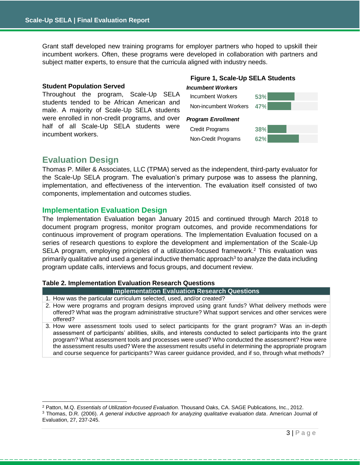Grant staff developed new training programs for employer partners who hoped to upskill their incumbent workers. Often, these programs were developed in collaboration with partners and subject matter experts, to ensure that the curricula aligned with industry needs.

#### **Student Population Served**

Throughout the program, Scale-Up SELA students tended to be African American and male. A majority of Scale-Up SELA students were enrolled in non-credit programs, and over half of all Scale-Up SELA students were incumbent workers.

## **Figure 1, Scale-Up SELA Students**



## **Evaluation Design**

Thomas P. Miller & Associates, LLC (TPMA) served as the independent, third-party evaluator for the Scale-Up SELA program. The evaluation's primary purpose was to assess the planning, implementation, and effectiveness of the intervention. The evaluation itself consisted of two components, implementation and outcomes studies.

## **Implementation Evaluation Design**

The Implementation Evaluation began January 2015 and continued through March 2018 to document program progress, monitor program outcomes, and provide recommendations for continuous improvement of program operations. The Implementation Evaluation focused on a series of research questions to explore the development and implementation of the Scale-Up SELA program, employing principles of a utilization-focused framework.<sup>2</sup> This evaluation was primarily qualitative and used a general inductive thematic approach<sup>3</sup> to analyze the data including program update calls, interviews and focus groups, and document review.

#### **Table 2. Implementation Evaluation Research Questions**

**Implementation Evaluation Research Questions**

- 1. How was the particular curriculum selected, used, and/or created?
- 2. How were programs and program designs improved using grant funds? What delivery methods were offered? What was the program administrative structure? What support services and other services were offered?
- 3. How were assessment tools used to select participants for the grant program? Was an in-depth assessment of participants' abilities, skills, and interests conducted to select participants into the grant program? What assessment tools and processes were used? Who conducted the assessment? How were the assessment results used? Were the assessment results useful in determining the appropriate program and course sequence for participants? Was career guidance provided, and if so, through what methods?

<sup>2</sup> Patton, M.Q. *Essentials of Utilization-focused Evaluation*. Thousand Oaks, CA. SAGE Publications, Inc., 2012.

<sup>3</sup> Thomas, D.R. (2006). *A general inductive approach for analyzing qualitative evaluation data*. American Journal of Evaluation, 27, 237-245.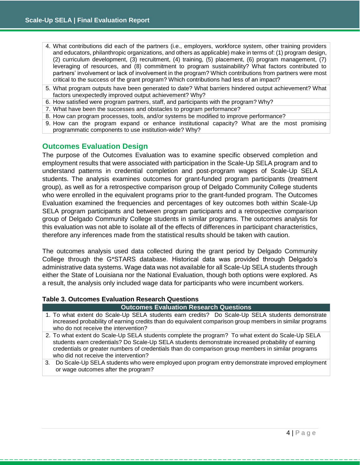- 4. What contributions did each of the partners (i.e., employers, workforce system, other training providers and educators, philanthropic organizations, and others as applicable) make in terms of: (1) program design, (2) curriculum development, (3) recruitment, (4) training, (5) placement, (6) program management, (7) leveraging of resources, and (8) commitment to program sustainability? What factors contributed to partners' involvement or lack of involvement in the program? Which contributions from partners were most critical to the success of the grant program? Which contributions had less of an impact?
- 5. What program outputs have been generated to date? What barriers hindered output achievement? What factors unexpectedly improved output achievement? Why?
- 6. How satisfied were program partners, staff, and participants with the program? Why?
- 7. What have been the successes and obstacles to program performance?
- 8. How can program processes, tools, and/or systems be modified to improve performance?
- 9. How can the program expand or enhance institutional capacity? What are the most promising programmatic components to use institution-wide? Why?

## **Outcomes Evaluation Design**

The purpose of the Outcomes Evaluation was to examine specific observed completion and employment results that were associated with participation in the Scale-Up SELA program and to understand patterns in credential completion and post-program wages of Scale-Up SELA students. The analysis examines outcomes for grant-funded program participants (treatment group), as well as for a retrospective comparison group of Delgado Community College students who were enrolled in the equivalent programs prior to the grant-funded program. The Outcomes Evaluation examined the frequencies and percentages of key outcomes both within Scale-Up SELA program participants and between program participants and a retrospective comparison group of Delgado Community College students in similar programs. The outcomes analysis for this evaluation was not able to isolate all of the effects of differences in participant characteristics, therefore any inferences made from the statistical results should be taken with caution.

The outcomes analysis used data collected during the grant period by Delgado Community College through the G\*STARS database. Historical data was provided through Delgado's administrative data systems. Wage data was not available for all Scale-Up SELA students through either the State of Louisiana nor the National Evaluation, though both options were explored. As a result, the analysis only included wage data for participants who were incumbent workers.

## **Table 3. Outcomes Evaluation Research Questions**

#### **Outcomes Evaluation Research Questions**

- 1. To what extent do Scale-Up SELA students earn credits? Do Scale-Up SELA students demonstrate increased probability of earning credits than do equivalent comparison group members in similar programs who do not receive the intervention?
- 2. To what extent do Scale-Up SELA students complete the program? To what extent do Scale-Up SELA students earn credentials? Do Scale-Up SELA students demonstrate increased probability of earning credentials or greater numbers of credentials than do comparison group members in similar programs who did not receive the intervention?
- 3. Do Scale-Up SELA students who were employed upon program entry demonstrate improved employment or wage outcomes after the program?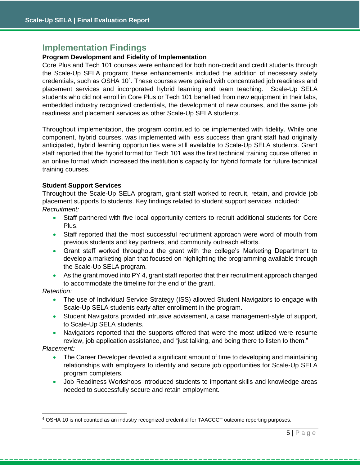## **Implementation Findings**

## **Program Development and Fidelity of Implementation**

Core Plus and Tech 101 courses were enhanced for both non-credit and credit students through the Scale-Up SELA program; these enhancements included the addition of necessary safety credentials, such as OSHA 10<sup>4</sup>. These courses were paired with concentrated job readiness and placement services and incorporated hybrid learning and team teaching. Scale-Up SELA students who did not enroll in Core Plus or Tech 101 benefited from new equipment in their labs, embedded industry recognized credentials, the development of new courses, and the same job readiness and placement services as other Scale-Up SELA students.

Throughout implementation, the program continued to be implemented with fidelity. While one component, hybrid courses, was implemented with less success than grant staff had originally anticipated, hybrid learning opportunities were still available to Scale-Up SELA students. Grant staff reported that the hybrid format for Tech 101 was the first technical training course offered in an online format which increased the institution's capacity for hybrid formats for future technical training courses.

#### **Student Support Services**

Throughout the Scale-Up SELA program, grant staff worked to recruit, retain, and provide job placement supports to students. Key findings related to student support services included: *Recruitment:*

- Staff partnered with five local opportunity centers to recruit additional students for Core Plus.
- Staff reported that the most successful recruitment approach were word of mouth from previous students and key partners, and community outreach efforts.
- Grant staff worked throughout the grant with the college's Marketing Department to develop a marketing plan that focused on highlighting the programming available through the Scale-Up SELA program.
- As the grant moved into PY 4, grant staff reported that their recruitment approach changed to accommodate the timeline for the end of the grant.

#### *Retention:*

- The use of Individual Service Strategy (ISS) allowed Student Navigators to engage with Scale-Up SELA students early after enrollment in the program.
- Student Navigators provided intrusive advisement, a case management-style of support, to Scale-Up SELA students.
- Navigators reported that the supports offered that were the most utilized were resume review, job application assistance, and "just talking, and being there to listen to them."

#### *Placement:*

- The Career Developer devoted a significant amount of time to developing and maintaining relationships with employers to identify and secure job opportunities for Scale-Up SELA program completers.
- Job Readiness Workshops introduced students to important skills and knowledge areas needed to successfully secure and retain employment.

<sup>4</sup> OSHA 10 is not counted as an industry recognized credential for TAACCCT outcome reporting purposes.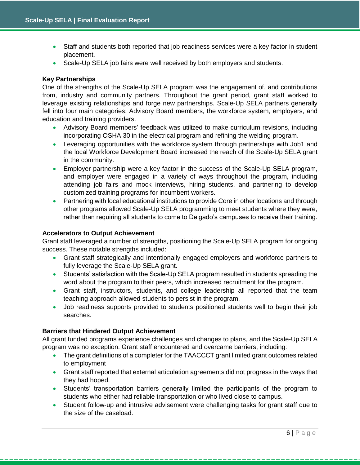- Staff and students both reported that job readiness services were a key factor in student placement.
- Scale-Up SELA job fairs were well received by both employers and students.

## **Key Partnerships**

One of the strengths of the Scale-Up SELA program was the engagement of, and contributions from, industry and community partners. Throughout the grant period, grant staff worked to leverage existing relationships and forge new partnerships. Scale-Up SELA partners generally fell into four main categories: Advisory Board members, the workforce system, employers, and education and training providers.

- Advisory Board members' feedback was utilized to make curriculum revisions, including incorporating OSHA 30 in the electrical program and refining the welding program.
- Leveraging opportunities with the workforce system through partnerships with Job1 and the local Workforce Development Board increased the reach of the Scale-Up SELA grant in the community.
- Employer partnership were a key factor in the success of the Scale-Up SELA program, and employer were engaged in a variety of ways throughout the program, including attending job fairs and mock interviews, hiring students, and partnering to develop customized training programs for incumbent workers.
- Partnering with local educational institutions to provide Core in other locations and through other programs allowed Scale-Up SELA programming to meet students where they were, rather than requiring all students to come to Delgado's campuses to receive their training.

#### **Accelerators to Output Achievement**

Grant staff leveraged a number of strengths, positioning the Scale-Up SELA program for ongoing success. These notable strengths included:

- Grant staff strategically and intentionally engaged employers and workforce partners to fully leverage the Scale-Up SELA grant.
- Students' satisfaction with the Scale-Up SELA program resulted in students spreading the word about the program to their peers, which increased recruitment for the program.
- Grant staff, instructors, students, and college leadership all reported that the team teaching approach allowed students to persist in the program.
- Job readiness supports provided to students positioned students well to begin their job searches.

## **Barriers that Hindered Output Achievement**

All grant funded programs experience challenges and changes to plans, and the Scale-Up SELA program was no exception. Grant staff encountered and overcame barriers, including:

- The grant definitions of a completer for the TAACCCT grant limited grant outcomes related to employment
- Grant staff reported that external articulation agreements did not progress in the ways that they had hoped.
- Students' transportation barriers generally limited the participants of the program to students who either had reliable transportation or who lived close to campus.
- Student follow-up and intrusive advisement were challenging tasks for grant staff due to the size of the caseload.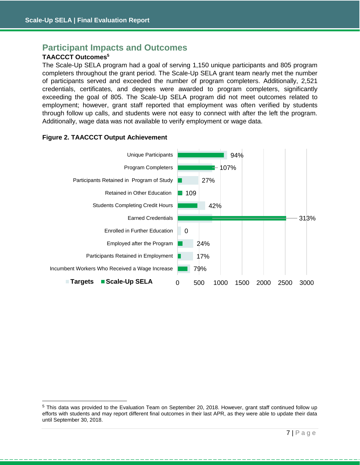## **Participant Impacts and Outcomes**

## **TAACCCT Outcomes<sup>5</sup>**

The Scale-Up SELA program had a goal of serving 1,150 unique participants and 805 program completers throughout the grant period. The Scale-Up SELA grant team nearly met the number of participants served and exceeded the number of program completers. Additionally, 2,521 credentials, certificates, and degrees were awarded to program completers, significantly exceeding the goal of 805. The Scale-Up SELA program did not meet outcomes related to employment; however, grant staff reported that employment was often verified by students through follow up calls, and students were not easy to connect with after the left the program. Additionally, wage data was not available to verify employment or wage data.



#### **Figure 2. TAACCCT Output Achievement**

<sup>5</sup> This data was provided to the Evaluation Team on September 20, 2018. However, grant staff continued follow up efforts with students and may report different final outcomes in their last APR, as they were able to update their data until September 30, 2018.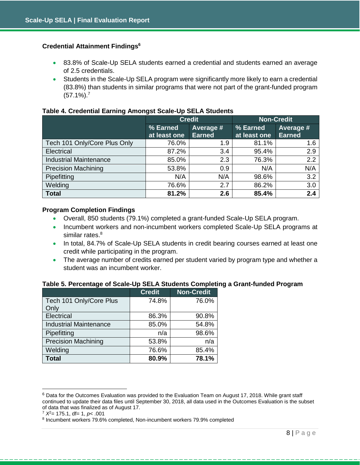## **Credential Attainment Findings<sup>6</sup>**

- 83.8% of Scale-Up SELA students earned a credential and students earned an average of 2.5 credentials.
- Students in the Scale-Up SELA program were significantly more likely to earn a credential (83.8%) than students in similar programs that were not part of the grant-funded program  $(57.1\%)$ .<sup>7</sup>

#### **Table 4. Credential Earning Amongst Scale-Up SELA Students**

|                               | <b>Credit</b>            |                            | <b>Non-Credit</b>        |                            |  |
|-------------------------------|--------------------------|----------------------------|--------------------------|----------------------------|--|
|                               | % Earned<br>at least one | Average #<br><b>Earned</b> | % Earned<br>at least one | Average #<br><b>Earned</b> |  |
| Tech 101 Only/Core Plus Only  | 76.0%                    | 1.9                        | 81.1%                    | 1.6                        |  |
| Electrical                    | 87.2%                    | 3.4                        | 95.4%                    | 2.9                        |  |
| <b>Industrial Maintenance</b> | 85.0%                    | 2.3                        | 76.3%                    | 2.2                        |  |
| <b>Precision Machining</b>    | 53.8%                    | 0.9                        | N/A                      | N/A                        |  |
| Pipefitting                   | N/A                      | N/A                        | 98.6%                    | 3.2                        |  |
| Welding                       | 76.6%                    | 2.7                        | 86.2%                    | 3.0                        |  |
| <b>Total</b>                  | 81.2%                    | 2.6                        | 85.4%                    | 2.4                        |  |

## **Program Completion Findings**

- Overall, 850 students (79.1%) completed a grant-funded Scale-Up SELA program.
- Incumbent workers and non-incumbent workers completed Scale-Up SELA programs at similar rates.<sup>8</sup>
- In total, 84.7% of Scale-Up SELA students in credit bearing courses earned at least one credit while participating in the program.
- The average number of credits earned per student varied by program type and whether a student was an incumbent worker.

#### **Table 5. Percentage of Scale-Up SELA Students Completing a Grant-funded Program**

|                               | <b>Credit</b> | <b>Non-Credit</b> |
|-------------------------------|---------------|-------------------|
| Tech 101 Only/Core Plus       | 74.8%         | 76.0%             |
| Only                          |               |                   |
| Electrical                    | 86.3%         | 90.8%             |
| <b>Industrial Maintenance</b> | 85.0%         | 54.8%             |
| Pipefitting                   | n/a           | 98.6%             |
| <b>Precision Machining</b>    | 53.8%         | n/a               |
| Welding                       | 76.6%         | 85.4%             |
| <b>Total</b>                  | 80.9%         | 78.1%             |

<sup>6</sup> Data for the Outcomes Evaluation was provided to the Evaluation Team on August 17, 2018. While grant staff continued to update their data files until September 30, 2018, all data used in the Outcomes Evaluation is the subset of data that was finalized as of August 17.

<sup>7</sup> *X*<sup>2</sup>= 175.1, df= 1, *p*< .001

<sup>&</sup>lt;sup>8</sup> Incumbent workers 79.6% completed, Non-incumbent workers 79.9% completed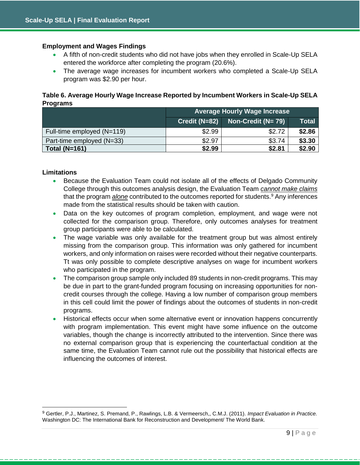## **Employment and Wages Findings**

- A fifth of non-credit students who did not have jobs when they enrolled in Scale-Up SELA entered the workforce after completing the program (20.6%).
- The average wage increases for incumbent workers who completed a Scale-Up SELA program was \$2.90 per hour.

**Table 6. Average Hourly Wage Increase Reported by Incumbent Workers in Scale-Up SELA Programs** 

|                            | <b>Average Hourly Wage Increase</b> |                     |              |
|----------------------------|-------------------------------------|---------------------|--------------|
|                            | Credit (N=82)                       | Non-Credit $(N=79)$ | <b>Total</b> |
| Full-time employed (N=119) | \$2.99                              | \$2.72              | \$2.86       |
| Part-time employed (N=33)  | \$2.97                              | \$3.74              | \$3.30       |
| <b>Total (N=161)</b>       | \$2.99<br>\$2.90<br>\$2.81          |                     |              |

## **Limitations**

- Because the Evaluation Team could not isolate all of the effects of Delgado Community College through this outcomes analysis design, the Evaluation Team *cannot make claims* that the program *alone* contributed to the outcomes reported for students.<sup>9</sup> Any inferences made from the statistical results should be taken with caution.
- Data on the key outcomes of program completion, employment, and wage were not collected for the comparison group. Therefore, only outcomes analyses for treatment group participants were able to be calculated.
- The wage variable was only available for the treatment group but was almost entirely missing from the comparison group. This information was only gathered for incumbent workers, and only information on raises were recorded without their negative counterparts. Tt was only possible to complete descriptive analyses on wage for incumbent workers who participated in the program.
- The comparison group sample only included 89 students in non-credit programs. This may be due in part to the grant-funded program focusing on increasing opportunities for noncredit courses through the college. Having a low number of comparison group members in this cell could limit the power of findings about the outcomes of students in non-credit programs.
- Historical effects occur when some alternative event or innovation happens concurrently with program implementation. This event might have some influence on the outcome variables, though the change is incorrectly attributed to the intervention. Since there was no external comparison group that is experiencing the counterfactual condition at the same time, the Evaluation Team cannot rule out the possibility that historical effects are influencing the outcomes of interest.

<sup>9</sup> Gertler, P.J., Martinez, S. Premand, P., Rawlings, L.B. & Vermeersch,, C.M.J. (2011). *Impact Evaluation in Practice.*  Washington DC: The International Bank for Reconstruction and Development/ The World Bank.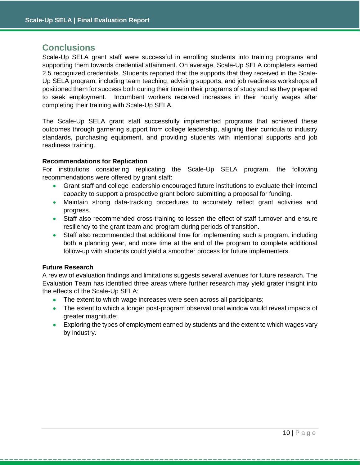## **Conclusions**

Scale-Up SELA grant staff were successful in enrolling students into training programs and supporting them towards credential attainment. On average, Scale-Up SELA completers earned 2.5 recognized credentials. Students reported that the supports that they received in the Scale-Up SELA program, including team teaching, advising supports, and job readiness workshops all positioned them for success both during their time in their programs of study and as they prepared to seek employment. Incumbent workers received increases in their hourly wages after completing their training with Scale-Up SELA.

The Scale-Up SELA grant staff successfully implemented programs that achieved these outcomes through garnering support from college leadership, aligning their curricula to industry standards, purchasing equipment, and providing students with intentional supports and job readiness training.

## **Recommendations for Replication**

For institutions considering replicating the Scale-Up SELA program, the following recommendations were offered by grant staff:

- Grant staff and college leadership encouraged future institutions to evaluate their internal capacity to support a prospective grant before submitting a proposal for funding.
- Maintain strong data-tracking procedures to accurately reflect grant activities and progress.
- Staff also recommended cross-training to lessen the effect of staff turnover and ensure resiliency to the grant team and program during periods of transition.
- Staff also recommended that additional time for implementing such a program, including both a planning year, and more time at the end of the program to complete additional follow-up with students could yield a smoother process for future implementers.

#### **Future Research**

A review of evaluation findings and limitations suggests several avenues for future research. The Evaluation Team has identified three areas where further research may yield grater insight into the effects of the Scale-Up SELA:

- The extent to which wage increases were seen across all participants;
- The extent to which a longer post-program observational window would reveal impacts of greater magnitude;
- Exploring the types of employment earned by students and the extent to which wages vary by industry.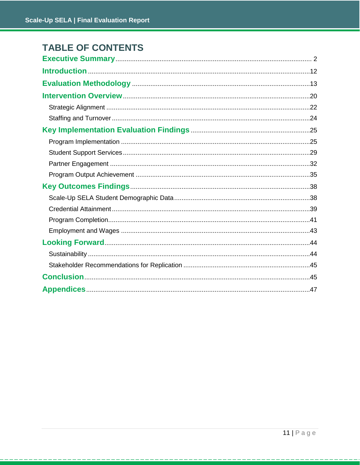## **TABLE OF CONTENTS**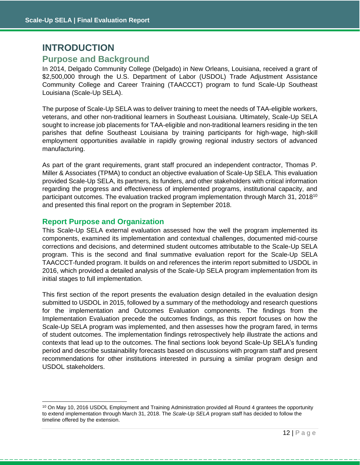## <span id="page-12-0"></span>**INTRODUCTION**

## **Purpose and Background**

In 2014, Delgado Community College (Delgado) in New Orleans, Louisiana, received a grant of \$2,500,000 through the U.S. Department of Labor (USDOL) Trade Adjustment Assistance Community College and Career Training (TAACCCT) program to fund Scale-Up Southeast Louisiana (Scale-Up SELA).

The purpose of Scale-Up SELA was to deliver training to meet the needs of TAA-eligible workers, veterans, and other non-traditional learners in Southeast Louisiana. Ultimately, Scale-Up SELA sought to increase job placements for TAA-eligible and non-traditional learners residing in the ten parishes that define Southeast Louisiana by training participants for high-wage, high-skill employment opportunities available in rapidly growing regional industry sectors of advanced manufacturing.

As part of the grant requirements, grant staff procured an independent contractor, Thomas P. Miller & Associates (TPMA) to conduct an objective evaluation of Scale-Up SELA. This evaluation provided Scale-Up SELA, its partners, its funders, and other stakeholders with critical information regarding the progress and effectiveness of implemented programs, institutional capacity, and participant outcomes. The evaluation tracked program implementation through March 31, 2018<sup>10</sup> and presented this final report on the program in September 2018.

## **Report Purpose and Organization**

This Scale-Up SELA external evaluation assessed how the well the program implemented its components, examined its implementation and contextual challenges, documented mid-course corrections and decisions, and determined student outcomes attributable to the Scale-Up SELA program. This is the second and final summative evaluation report for the Scale-Up SELA TAACCCT-funded program. It builds on and references the interim report submitted to USDOL in 2016, which provided a detailed analysis of the Scale-Up SELA program implementation from its initial stages to full implementation.

This first section of the report presents the evaluation design detailed in the evaluation design submitted to USDOL in 2015, followed by a summary of the methodology and research questions for the implementation and Outcomes Evaluation components. The findings from the Implementation Evaluation precede the outcomes findings, as this report focuses on how the Scale-Up SELA program was implemented, and then assesses how the program fared, in terms of student outcomes. The implementation findings retrospectively help illustrate the actions and contexts that lead up to the outcomes. The final sections look beyond Scale-Up SELA's funding period and describe sustainability forecasts based on discussions with program staff and present recommendations for other institutions interested in pursuing a similar program design and USDOL stakeholders.

<sup>&</sup>lt;sup>10</sup> On May 10, 2016 USDOL Employment and Training Administration provided all Round 4 grantees the opportunity to extend implementation through March 31, 2018. The *Scale-Up SELA* program staff has decided to follow the timeline offered by the extension.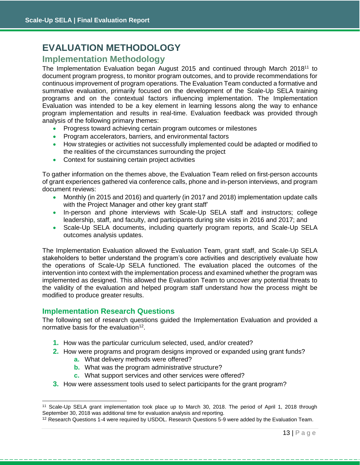## <span id="page-13-0"></span>**EVALUATION METHODOLOGY**

## **Implementation Methodology**

The Implementation Evaluation began August 2015 and continued through March 2018<sup>11</sup> to document program progress, to monitor program outcomes, and to provide recommendations for continuous improvement of program operations. The Evaluation Team conducted a formative and summative evaluation, primarily focused on the development of the Scale-Up SELA training programs and on the contextual factors influencing implementation. The Implementation Evaluation was intended to be a key element in learning lessons along the way to enhance program implementation and results in real-time. Evaluation feedback was provided through analysis of the following primary themes:

- Progress toward achieving certain program outcomes or milestones
- Program accelerators, barriers, and environmental factors
- How strategies or activities not successfully implemented could be adapted or modified to the realities of the circumstances surrounding the project
- Context for sustaining certain project activities

To gather information on the themes above, the Evaluation Team relied on first-person accounts of grant experiences gathered via conference calls, phone and in-person interviews, and program document reviews:

- Monthly (in 2015 and 2016) and quarterly (in 2017 and 2018) implementation update calls with the Project Manager and other key grant staff'
- In-person and phone interviews with Scale-Up SELA staff and instructors; college leadership, staff, and faculty, and participants during site visits in 2016 and 2017; and
- Scale-Up SELA documents, including quarterly program reports, and Scale-Up SELA outcomes analysis updates.

The Implementation Evaluation allowed the Evaluation Team, grant staff, and Scale-Up SELA stakeholders to better understand the program's core activities and descriptively evaluate how the operations of Scale-Up SELA functioned. The evaluation placed the outcomes of the intervention into context with the implementation process and examined whether the program was implemented as designed. This allowed the Evaluation Team to uncover any potential threats to the validity of the evaluation and helped program staff understand how the process might be modified to produce greater results.

## **Implementation Research Questions**

The following set of research questions guided the Implementation Evaluation and provided a normative basis for the evaluation $12$ .

- **1.** How was the particular curriculum selected, used, and/or created?
- **2.** How were programs and program designs improved or expanded using grant funds?
	- **a.** What delivery methods were offered?
	- **b.** What was the program administrative structure?
	- **c.** What support services and other services were offered?
- **3.** How were assessment tools used to select participants for the grant program?

<sup>&</sup>lt;sup>11</sup> Scale-Up SELA grant implementation took place up to March 30, 2018. The period of April 1, 2018 through September 30, 2018 was additional time for evaluation analysis and reporting.

<sup>&</sup>lt;sup>12</sup> Research Questions 1-4 were required by USDOL. Research Questions 5-9 were added by the Evaluation Team.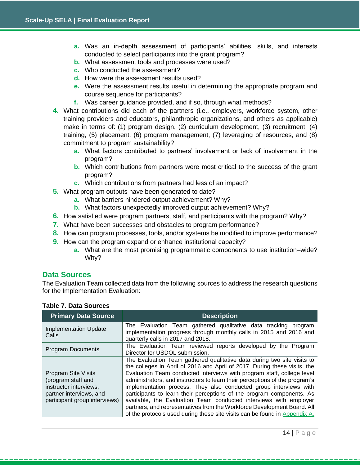- **a.** Was an in-depth assessment of participants' abilities, skills, and interests conducted to select participants into the grant program?
- **b.** What assessment tools and processes were used?
- **c.** Who conducted the assessment?
- **d.** How were the assessment results used?
- **e.** Were the assessment results useful in determining the appropriate program and course sequence for participants?
- **f.** Was career guidance provided, and if so, through what methods?
- **4.** What contributions did each of the partners (i.e., employers, workforce system, other training providers and educators, philanthropic organizations, and others as applicable) make in terms of: (1) program design, (2) curriculum development, (3) recruitment, (4) training, (5) placement, (6) program management, (7) leveraging of resources, and (8) commitment to program sustainability?
	- **a.** What factors contributed to partners' involvement or lack of involvement in the program?
	- **b.** Which contributions from partners were most critical to the success of the grant program?
	- **c.** Which contributions from partners had less of an impact?
- **5.** What program outputs have been generated to date?
	- **a.** What barriers hindered output achievement? Why?
	- **b.** What factors unexpectedly improved output achievement? Why?
- **6.** How satisfied were program partners, staff, and participants with the program? Why?
- **7.** What have been successes and obstacles to program performance?
- **8.** How can program processes, tools, and/or systems be modified to improve performance?
- **9.** How can the program expand or enhance institutional capacity?
	- **a.** What are the most promising programmatic components to use institution–wide? Why?

## **Data Sources**

The Evaluation Team collected data from the following sources to address the research questions for the Implementation Evaluation:

| <b>Primary Data Source</b>                                                                                                             | <b>Description</b>                                                                                                                                                                                                                                                                                                                                                                                                                                                                                                                                                                                                                                                                        |
|----------------------------------------------------------------------------------------------------------------------------------------|-------------------------------------------------------------------------------------------------------------------------------------------------------------------------------------------------------------------------------------------------------------------------------------------------------------------------------------------------------------------------------------------------------------------------------------------------------------------------------------------------------------------------------------------------------------------------------------------------------------------------------------------------------------------------------------------|
| <b>Implementation Update</b><br>Calls                                                                                                  | The Evaluation Team gathered qualitative data tracking program<br>implementation progress through monthly calls in 2015 and 2016 and<br>quarterly calls in 2017 and 2018.                                                                                                                                                                                                                                                                                                                                                                                                                                                                                                                 |
| <b>Program Documents</b>                                                                                                               | The Evaluation Team reviewed reports developed by the Program<br>Director for USDOL submission.                                                                                                                                                                                                                                                                                                                                                                                                                                                                                                                                                                                           |
| <b>Program Site Visits</b><br>(program staff and<br>instructor interviews,<br>partner interviews, and<br>participant group interviews) | The Evaluation Team gathered qualitative data during two site visits to<br>the colleges in April of 2016 and April of 2017. During these visits, the<br>Evaluation Team conducted interviews with program staff, college level<br>administrators, and instructors to learn their perceptions of the program's<br>implementation process. They also conducted group interviews with<br>participants to learn their perceptions of the program components. As<br>available, the Evaluation Team conducted interviews with employer<br>partners, and representatives from the Workforce Development Board. All<br>of the protocols used during these site visits can be found in Appendix A. |

#### **Table 7. Data Sources**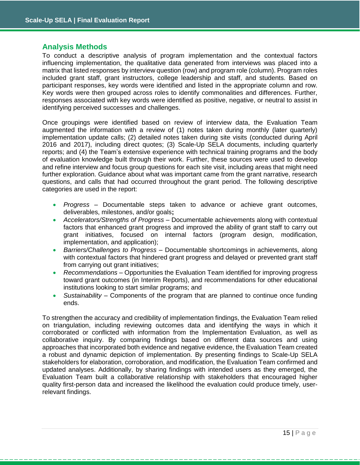## **Analysis Methods**

To conduct a descriptive analysis of program implementation and the contextual factors influencing implementation, the qualitative data generated from interviews was placed into a matrix that listed responses by interview question (row) and program role (column). Program roles included grant staff, grant instructors, college leadership and staff, and students. Based on participant responses, key words were identified and listed in the appropriate column and row. Key words were then grouped across roles to identify commonalities and differences. Further, responses associated with key words were identified as positive, negative, or neutral to assist in identifying perceived successes and challenges.

Once groupings were identified based on review of interview data, the Evaluation Team augmented the information with a review of (1) notes taken during monthly (later quarterly) implementation update calls; (2) detailed notes taken during site visits (conducted during April 2016 and 2017), including direct quotes; (3) Scale-Up SELA documents, including quarterly reports; and (4) the Team's extensive experience with technical training programs and the body of evaluation knowledge built through their work. Further, these sources were used to develop and refine interview and focus group questions for each site visit, including areas that might need further exploration. Guidance about what was important came from the grant narrative, research questions, and calls that had occurred throughout the grant period. The following descriptive categories are used in the report:

- *Progress* Documentable steps taken to advance or achieve grant outcomes, deliverables, milestones, and/or goals**;**
- *Accelerators/Strengths of Progress –* Documentable achievements along with contextual factors that enhanced grant progress and improved the ability of grant staff to carry out grant initiatives, focused on internal factors (program design, modification, implementation, and application);
- *Barriers/Challenges to Progress* Documentable shortcomings in achievements, along with contextual factors that hindered grant progress and delayed or prevented grant staff from carrying out grant initiatives;
- *Recommendations* Opportunities the Evaluation Team identified for improving progress toward grant outcomes (in Interim Reports), and recommendations for other educational institutions looking to start similar programs; and
- *Sustainability* Components of the program that are planned to continue once funding ends.

To strengthen the accuracy and credibility of implementation findings, the Evaluation Team relied on triangulation, including reviewing outcomes data and identifying the ways in which it corroborated or conflicted with information from the Implementation Evaluation, as well as collaborative inquiry. By comparing findings based on different data sources and using approaches that incorporated both evidence and negative evidence, the Evaluation Team created a robust and dynamic depiction of implementation. By presenting findings to Scale-Up SELA stakeholders for elaboration, corroboration, and modification, the Evaluation Team confirmed and updated analyses. Additionally, by sharing findings with intended users as they emerged, the Evaluation Team built a collaborative relationship with stakeholders that encouraged higher quality first-person data and increased the likelihood the evaluation could produce timely, userrelevant findings.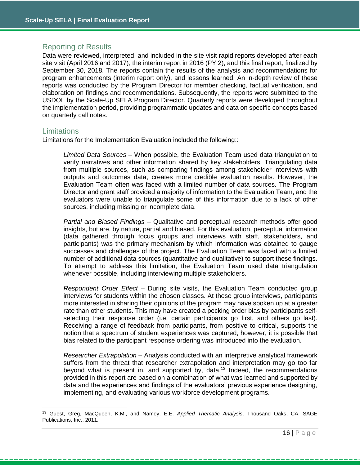## Reporting of Results

Data were reviewed, interpreted, and included in the site visit rapid reports developed after each site visit (April 2016 and 2017), the interim report in 2016 (PY 2), and this final report, finalized by September 30, 2018. The reports contain the results of the analysis and recommendations for program enhancements (interim report only), and lessons learned. An in-depth review of these reports was conducted by the Program Director for member checking, factual verification, and elaboration on findings and recommendations. Subsequently, the reports were submitted to the USDOL by the Scale-Up SELA Program Director. Quarterly reports were developed throughout the implementation period, providing programmatic updates and data on specific concepts based on quarterly call notes.

#### **Limitations**

 $\overline{a}$ 

Limitations for the Implementation Evaluation included the following::

*Limited Data Sources –* When possible, the Evaluation Team used data triangulation to verify narratives and other information shared by key stakeholders. Triangulating data from multiple sources, such as comparing findings among stakeholder interviews with outputs and outcomes data, creates more credible evaluation results. However, the Evaluation Team often was faced with a limited number of data sources. The Program Director and grant staff provided a majority of information to the Evaluation Team, and the evaluators were unable to triangulate some of this information due to a lack of other sources, including missing or incomplete data.

*Partial and Biased Findings –* Qualitative and perceptual research methods offer good insights, but are, by nature, partial and biased. For this evaluation, perceptual information (data gathered through focus groups and interviews with staff, stakeholders, and participants) was the primary mechanism by which information was obtained to gauge successes and challenges of the project. The Evaluation Team was faced with a limited number of additional data sources (quantitative and qualitative) to support these findings. To attempt to address this limitation, the Evaluation Team used data triangulation whenever possible, including interviewing multiple stakeholders.

*Respondent Order Effect* – During site visits, the Evaluation Team conducted group interviews for students within the chosen classes. At these group interviews, participants more interested in sharing their opinions of the program may have spoken up at a greater rate than other students. This may have created a pecking order bias by participants selfselecting their response order (i.e. certain participants go first, and others go last). Receiving a range of feedback from participants, from positive to critical, supports the notion that a spectrum of student experiences was captured; however, it is possible that bias related to the participant response ordering was introduced into the evaluation.

*Researcher Extrapolation –* Analysis conducted with an interpretive analytical framework suffers from the threat that researcher extrapolation and interpretation may go too far beyond what is present in, and supported by, data.<sup>13</sup> Indeed, the recommendations provided in this report are based on a combination of what was learned and supported by data and the experiences and findings of the evaluators' previous experience designing, implementing, and evaluating various workforce development programs.

<sup>13</sup> Guest, Greg, MacQueen, K.M., and Namey, E.E. *Applied Thematic Analysis*. Thousand Oaks, CA. SAGE Publications, Inc., 2011.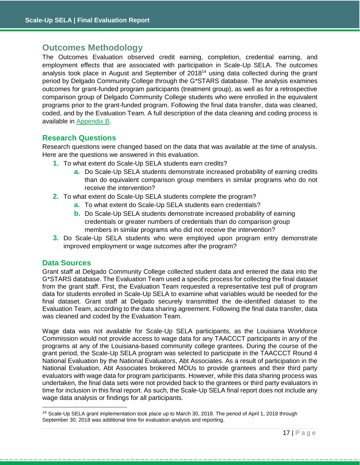## **Outcomes Methodology**

The Outcomes Evaluation observed credit earning, completion, credential earning, and employment effects that are associated with participation in Scale-Up SELA. The outcomes analysis took place in August and September of 2018<sup>14</sup> using data collected during the grant period by Delgado Community College through the G\*STARS database. The analysis examines outcomes for grant-funded program participants (treatment group), as well as for a retrospective comparison group of Delgado Community College students who were enrolled in the equivalent programs prior to the grant-funded program. Following the final data transfer, data was cleaned, coded, and by the Evaluation Team. A full description of the data cleaning and coding process is available in [Appendix B.](#page-53-0)

## **Research Questions**

Research questions were changed based on the data that was available at the time of analysis. Here are the questions we answered in this evaluation.

- **1.** To what extent do Scale-Up SELA students earn credits?
	- **a.** Do Scale-Up SELA students demonstrate increased probability of earning credits than do equivalent comparison group members in similar programs who do not receive the intervention?
- **2.** To what extent do Scale-Up SELA students complete the program?
	- **a.** To what extent do Scale-Up SELA students earn credentials?
	- **b.** Do Scale-Up SELA students demonstrate increased probability of earning credentials or greater numbers of credentials than do comparison group members in similar programs who did not receive the intervention?
- **3.** Do Scale-Up SELA students who were employed upon program entry demonstrate improved employment or wage outcomes after the program?

## **Data Sources**

Grant staff at Delgado Community College collected student data and entered the data into the G\*STARS database. The Evaluation Team used a specific process for collecting the final dataset from the grant staff. First, the Evaluation Team requested a representative test pull of program data for students enrolled in Scale-Up SELA to examine what variables would be needed for the final dataset. Grant staff at Delgado securely transmitted the de-identified dataset to the Evaluation Team, according to the data sharing agreement. Following the final data transfer, data was cleaned and coded by the Evaluation Team.

Wage data was not available for Scale-Up SELA participants, as the Louisiana Workforce Commission would not provide access to wage data for any TAACCCT participants in any of the programs at any of the Louisiana-based community college grantees. During the course of the grant period, the Scale-Up SELA program was selected to participate in the TAACCCT Round 4 National Evaluation by the National Evaluators, Abt Associates. As a result of participation in the National Evaluation, Abt Associates brokered MOUs to provide grantees and their third party evaluators with wage data for program participants. However, while this data sharing process was undertaken, the final data sets were not provided back to the grantees or third party evaluators in time for inclusion in this final report. As such, the Scale-Up SELA final report does not include any wage data analysis or findings for all participants.

<sup>&</sup>lt;sup>14</sup> Scale-Up SELA grant implementation took place up to March 30, 2018. The period of April 1, 2018 through September 30, 2018 was additional time for evaluation analysis and reporting.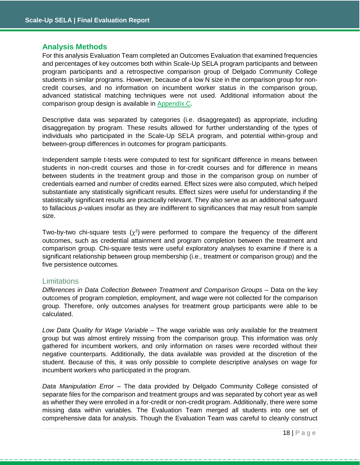## **Analysis Methods**

For this analysis Evaluation Team completed an Outcomes Evaluation that examined frequencies and percentages of key outcomes both within Scale-Up SELA program participants and between program participants and a retrospective comparison group of Delgado Community College students in similar programs. However, because of a low N size in the comparison group for noncredit courses, and no information on incumbent worker status in the comparison group, advanced statistical matching techniques were not used. Additional information about the comparison group design is available in [Appendix C.](#page-54-0)

Descriptive data was separated by categories (i.e. disaggregated) as appropriate, including disaggregation by program. These results allowed for further understanding of the types of individuals who participated in the Scale-Up SELA program, and potential within-group and between-group differences in outcomes for program participants.

Independent sample t-tests were computed to test for significant difference in means between students in non-credit courses and those in for-credit courses and for difference in means between students in the treatment group and those in the comparison group on number of credentials earned and number of credits earned. Effect sizes were also computed, which helped substantiate any statistically significant results. Effect sizes were useful for understanding if the statistically significant results are practically relevant. They also serve as an additional safeguard to fallacious *p*-values insofar as they are indifferent to significances that may result from sample size.

Two-by-two chi-square tests  $(\chi^2)$  were performed to compare the frequency of the different outcomes, such as credential attainment and program completion between the treatment and comparison group. Chi-square tests were useful exploratory analyses to examine if there is a significant relationship between group membership (i.e., treatment or comparison group) and the five persistence outcomes.

#### **Limitations**

*Differences in Data Collection Between Treatment and Comparison Groups* – Data on the key outcomes of program completion, employment, and wage were not collected for the comparison group. Therefore, only outcomes analyses for treatment group participants were able to be calculated.

*Low Data Quality for Wage Variable* – The wage variable was only available for the treatment group but was almost entirely missing from the comparison group. This information was only gathered for incumbent workers, and only information on raises were recorded without their negative counterparts. Additionally, the data available was provided at the discretion of the student. Because of this, it was only possible to complete descriptive analyses on wage for incumbent workers who participated in the program.

*Data Manipulation Error* – The data provided by Delgado Community College consisted of separate files for the comparison and treatment groups and was separated by cohort year as well as whether they were enrolled in a for-credit or non-credit program. Additionally, there were some missing data within variables. The Evaluation Team merged all students into one set of comprehensive data for analysis. Though the Evaluation Team was careful to cleanly construct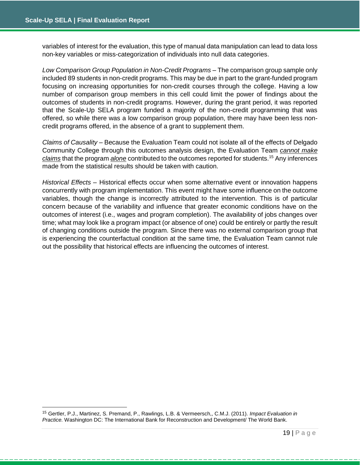variables of interest for the evaluation, this type of manual data manipulation can lead to data loss non-key variables or miss-categorization of individuals into null data categories.

Low Comparison Group Population in Non-Credit Programs – The comparison group sample only included 89 students in non-credit programs. This may be due in part to the grant-funded program focusing on increasing opportunities for non-credit courses through the college. Having a low number of comparison group members in this cell could limit the power of findings about the outcomes of students in non-credit programs. However, during the grant period, it was reported that the Scale-Up SELA program funded a majority of the non-credit programming that was offered, so while there was a low comparison group population, there may have been less noncredit programs offered, in the absence of a grant to supplement them.

*Claims of Causality –* Because the Evaluation Team could not isolate all of the effects of Delgado Community College through this outcomes analysis design, the Evaluation Team *cannot make claims* that the program *alone* contributed to the outcomes reported for students.<sup>15</sup> Any inferences made from the statistical results should be taken with caution.

*Historical Effects –* Historical effects occur when some alternative event or innovation happens concurrently with program implementation. This event might have some influence on the outcome variables, though the change is incorrectly attributed to the intervention. This is of particular concern because of the variability and influence that greater economic conditions have on the outcomes of interest (i.e., wages and program completion). The availability of jobs changes over time; what may look like a program impact (or absence of one) could be entirely or partly the result of changing conditions outside the program. Since there was no external comparison group that is experiencing the counterfactual condition at the same time, the Evaluation Team cannot rule out the possibility that historical effects are influencing the outcomes of interest.

<sup>15</sup> Gertler, P.J., Martinez, S. Premand, P., Rawlings, L.B. & Vermeersch,, C.M.J. (2011). *Impact Evaluation in Practice.* Washington DC: The International Bank for Reconstruction and Development/ The World Bank.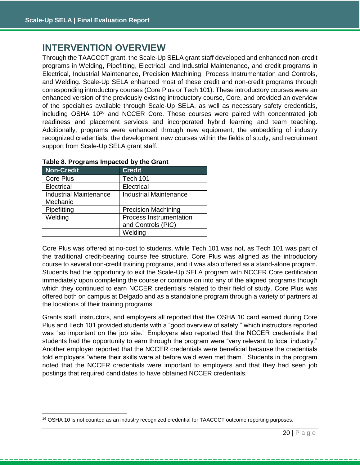## <span id="page-20-0"></span>**INTERVENTION OVERVIEW**

Through the TAACCCT grant, the Scale-Up SELA grant staff developed and enhanced non-credit programs in Welding, Pipefitting, Electrical, and Industrial Maintenance, and credit programs in Electrical, Industrial Maintenance, Precision Machining, Process Instrumentation and Controls, and Welding. Scale-Up SELA enhanced most of these credit and non-credit programs through corresponding introductory courses (Core Plus or Tech 101). These introductory courses were an enhanced version of the previously existing introductory course, Core, and provided an overview of the specialties available through Scale-Up SELA, as well as necessary safety credentials, including OSHA 10<sup>16</sup> and NCCER Core. These courses were paired with concentrated job readiness and placement services and incorporated hybrid learning and team teaching. Additionally, programs were enhanced through new equipment, the embedding of industry recognized credentials, the development new courses within the fields of study, and recruitment support from Scale-Up SELA grant staff.

| <b>Non-Credit</b>             | <b>Credit</b>                 |
|-------------------------------|-------------------------------|
| Core Plus                     | <b>Tech 101</b>               |
| Electrical                    | Electrical                    |
| <b>Industrial Maintenance</b> | <b>Industrial Maintenance</b> |
| Mechanic                      |                               |
| Pipefitting                   | <b>Precision Machining</b>    |
| Welding                       | Process Instrumentation       |
|                               | and Controls (PIC)            |
|                               | Welding                       |

#### **Table 8. Programs Impacted by the Grant**

Core Plus was offered at no-cost to students, while Tech 101 was not, as Tech 101 was part of the traditional credit-bearing course fee structure. Core Plus was aligned as the introductory course to several non-credit training programs, and it was also offered as a stand-alone program. Students had the opportunity to exit the Scale-Up SELA program with NCCER Core certification immediately upon completing the course or continue on into any of the aligned programs though which they continued to earn NCCER credentials related to their field of study. Core Plus was offered both on campus at Delgado and as a standalone program through a variety of partners at the locations of their training programs.

Grants staff, instructors, and employers all reported that the OSHA 10 card earned during Core Plus and Tech 101 provided students with a "good overview of safety," which instructors reported was "so important on the job site." Employers also reported that the NCCER credentials that students had the opportunity to earn through the program were "very relevant to local industry." Another employer reported that the NCCER credentials were beneficial because the credentials told employers "where their skills were at before we'd even met them." Students in the program noted that the NCCER credentials were important to employers and that they had seen job postings that required candidates to have obtained NCCER credentials.

<sup>&</sup>lt;sup>16</sup> OSHA 10 is not counted as an industry recognized credential for TAACCCT outcome reporting purposes.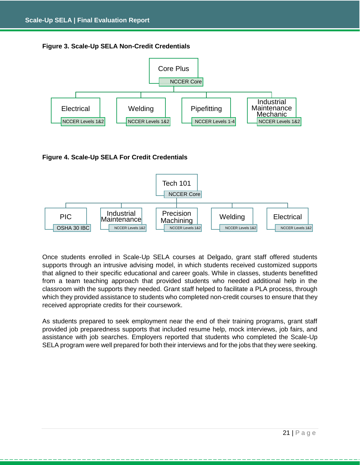



## **Figure 4. Scale-Up SELA For Credit Credentials**



Once students enrolled in Scale-Up SELA courses at Delgado, grant staff offered students supports through an intrusive advising model, in which students received customized supports that aligned to their specific educational and career goals. While in classes, students benefitted from a team teaching approach that provided students who needed additional help in the classroom with the supports they needed. Grant staff helped to facilitate a PLA process, through which they provided assistance to students who completed non-credit courses to ensure that they received appropriate credits for their coursework.

As students prepared to seek employment near the end of their training programs, grant staff provided job preparedness supports that included resume help, mock interviews, job fairs, and assistance with job searches. Employers reported that students who completed the Scale-Up SELA program were well prepared for both their interviews and for the jobs that they were seeking.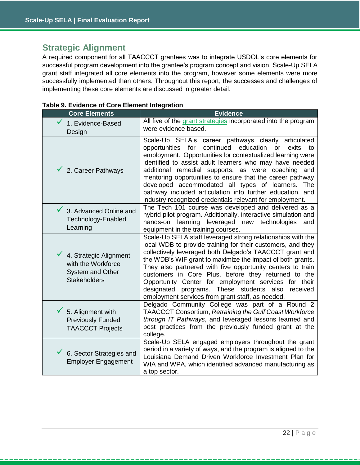## <span id="page-22-0"></span>**Strategic Alignment**

A required component for all TAACCCT grantees was to integrate USDOL's core elements for successful program development into the grantee's program concept and vision. Scale-Up SELA grant staff integrated all core elements into the program, however some elements were more successfully implemented than others. Throughout this report, the successes and challenges of implementing these core elements are discussed in greater detail.

<span id="page-22-1"></span>

| <b>Core Elements</b>                                                                    | <b>Evidence</b>                                                                                                                                                                                                                                                                                                                                                                                                                                                                                                                                      |
|-----------------------------------------------------------------------------------------|------------------------------------------------------------------------------------------------------------------------------------------------------------------------------------------------------------------------------------------------------------------------------------------------------------------------------------------------------------------------------------------------------------------------------------------------------------------------------------------------------------------------------------------------------|
| 1. Evidence-Based<br>Design                                                             | All five of the grant strategies incorporated into the program<br>were evidence based.                                                                                                                                                                                                                                                                                                                                                                                                                                                               |
| 2. Career Pathways                                                                      | Scale-Up SELA's career pathways clearly articulated<br>continued<br>opportunities<br>for<br>education<br>exits<br>to<br>or<br>employment. Opportunities for contextualized learning were<br>identified to assist adult learners who may have needed<br>additional remedial supports, as were coaching and<br>mentoring opportunities to ensure that the career pathway<br>developed accommodated all types of learners. The<br>pathway included articulation into further education, and<br>industry recognized credentials relevant for employment. |
| 3. Advanced Online and<br>Technology-Enabled<br>Learning                                | The Tech 101 course was developed and delivered as a<br>hybrid pilot program. Additionally, interactive simulation and<br>hands-on learning leveraged new technologies<br>and<br>equipment in the training courses.                                                                                                                                                                                                                                                                                                                                  |
| 4. Strategic Alignment<br>with the Workforce<br>System and Other<br><b>Stakeholders</b> | Scale-Up SELA staff leveraged strong relationships with the<br>local WDB to provide training for their customers, and they<br>collectively leveraged both Delgado's TAACCCT grant and<br>the WDB's WIF grant to maximize the impact of both grants.<br>They also partnered with five opportunity centers to train<br>customers in Core Plus, before they returned to the<br>Opportunity Center for employment services for their<br>designated programs. These students also received<br>employment services from grant staff, as needed.            |
| 5. Alignment with<br><b>Previously Funded</b><br><b>TAACCCT Projects</b>                | Delgado Community College was part of a Round 2<br>TAACCCT Consortium, Retraining the Gulf Coast Workforce<br>through IT Pathways, and leveraged lessons learned and<br>best practices from the previously funded grant at the<br>college.                                                                                                                                                                                                                                                                                                           |
| 6. Sector Strategies and<br><b>Employer Engagement</b>                                  | Scale-Up SELA engaged employers throughout the grant<br>period in a variety of ways, and the program is aligned to the<br>Louisiana Demand Driven Workforce Investment Plan for<br>WIA and WPA, which identified advanced manufacturing as<br>a top sector.                                                                                                                                                                                                                                                                                          |

|  |  |  |  |  | Table 9. Evidence of Core Element Integration |
|--|--|--|--|--|-----------------------------------------------|
|--|--|--|--|--|-----------------------------------------------|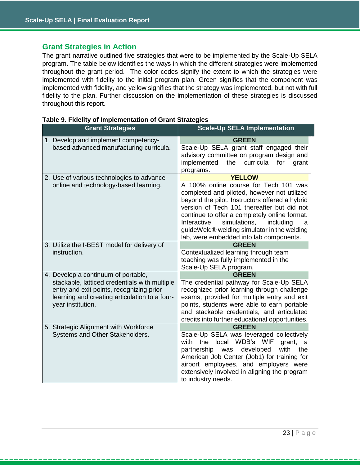## **Grant Strategies in Action**

The grant narrative outlined five strategies that were to be implemented by the Scale-Up SELA program. The table below identifies the ways in which the different strategies were implemented throughout the grant period. The color codes signify the extent to which the strategies were implemented with fidelity to the initial program plan. Green signifies that the component was implemented with fidelity, and yellow signifies that the strategy was implemented, but not with full fidelity to the plan. Further discussion on the implementation of these strategies is discussed throughout this report.

| <b>Grant Strategies</b>                                                                                                                                                                                | <b>Scale-Up SELA Implementation</b>                                                                                                                                                                                                                                                                                                                                                               |  |  |
|--------------------------------------------------------------------------------------------------------------------------------------------------------------------------------------------------------|---------------------------------------------------------------------------------------------------------------------------------------------------------------------------------------------------------------------------------------------------------------------------------------------------------------------------------------------------------------------------------------------------|--|--|
| 1. Develop and implement competency-<br>based advanced manufacturing curricula.                                                                                                                        | <b>GREEN</b><br>Scale-Up SELA grant staff engaged their<br>advisory committee on program design and<br>implemented<br>curricula<br>the<br>for<br>grant<br>programs.                                                                                                                                                                                                                               |  |  |
| 2. Use of various technologies to advance<br>online and technology-based learning.                                                                                                                     | <b>YELLOW</b><br>A 100% online course for Tech 101 was<br>completed and piloted, however not utilized<br>beyond the pilot. Instructors offered a hybrid<br>version of Tech 101 thereafter but did not<br>continue to offer a completely online format.<br>simulations,<br>Interactive<br>including<br>a<br>guideWeld® welding simulator in the welding<br>lab, were embedded into lab components. |  |  |
| 3. Utilize the I-BEST model for delivery of<br>instruction.                                                                                                                                            | <b>GREEN</b><br>Contextualized learning through team<br>teaching was fully implemented in the<br>Scale-Up SELA program.                                                                                                                                                                                                                                                                           |  |  |
| 4. Develop a continuum of portable,<br>stackable, latticed credentials with multiple<br>entry and exit points, recognizing prior<br>learning and creating articulation to a four-<br>year institution. | <b>GREEN</b><br>The credential pathway for Scale-Up SELA<br>recognized prior learning through challenge<br>exams, provided for multiple entry and exit<br>points, students were able to earn portable<br>and stackable credentials, and articulated<br>credits into further educational opportunities.                                                                                            |  |  |
| 5. Strategic Alignment with Workforce<br>Systems and Other Stakeholders.                                                                                                                               | <b>GREEN</b><br>Scale-Up SELA was leveraged collectively<br>the local WDB's WIF<br>with<br>grant,<br>a<br>partnership<br>developed<br>with<br>the<br>was<br>American Job Center (Job1) for training for<br>airport employees, and employers were<br>extensively involved in aligning the program<br>to industry needs.                                                                            |  |  |

#### **Table 9. Fidelity of Implementation of Grant Strategies**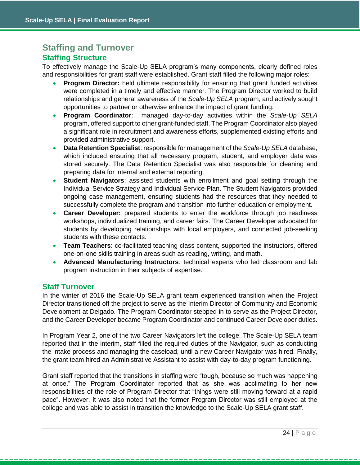## <span id="page-24-0"></span>**Staffing and Turnover Staffing Structure**

To effectively manage the Scale-Up SELA program's many components, clearly defined roles and responsibilities for grant staff were established. Grant staff filled the following major roles:

- **Program Director:** held ultimate responsibility for ensuring that grant funded activities were completed in a timely and effective manner. The Program Director worked to build relationships and general awareness of the *Scale-Up SELA* program, and actively sought opportunities to partner or otherwise enhance the impact of grant funding.
- **Program Coordinator**: managed day-to-day activities within the *Scale-Up SELA* program, offered support to other grant-funded staff. The Program Coordinator also played a significant role in recruitment and awareness efforts, supplemented existing efforts and provided administrative support.
- **Data Retention Specialist**: responsible for management of the *Scale-Up SELA* database, which included ensuring that all necessary program, student, and employer data was stored securely. The Data Retention Specialist was also responsible for cleaning and preparing data for internal and external reporting.
- **Student Navigators**: assisted students with enrollment and goal setting through the Individual Service Strategy and Individual Service Plan. The Student Navigators provided ongoing case management, ensuring students had the resources that they needed to successfully complete the program and transition into further education or employment.
- **Career Developer:** prepared students to enter the workforce through job readiness workshops, individualized training, and career fairs. The Career Developer advocated for students by developing relationships with local employers, and connected job-seeking students with these contacts.
- **Team Teachers**: co-facilitated teaching class content, supported the instructors, offered one-on-one skills training in areas such as reading, writing, and math.
- **Advanced Manufacturing Instructors**: technical experts who led classroom and lab program instruction in their subjects of expertise.

## **Staff Turnover**

In the winter of 2016 the Scale-Up SELA grant team experienced transition when the Project Director transitioned off the project to serve as the Interim Director of Community and Economic Development at Delgado. The Program Coordinator stepped in to serve as the Project Director, and the Career Developer became Program Coordinator and continued Career Developer duties.

In Program Year 2, one of the two Career Navigators left the college. The Scale-Up SELA team reported that in the interim, staff filled the required duties of the Navigator, such as conducting the intake process and managing the caseload, until a new Career Navigator was hired. Finally, the grant team hired an Administrative Assistant to assist with day-to-day program functioning.

Grant staff reported that the transitions in staffing were "tough, because so much was happening at once." The Program Coordinator reported that as she was acclimating to her new responsibilities of the role of Program Director that "things were still moving forward at a rapid pace". However, it was also noted that the former Program Director was still employed at the college and was able to assist in transition the knowledge to the Scale-Up SELA grant staff.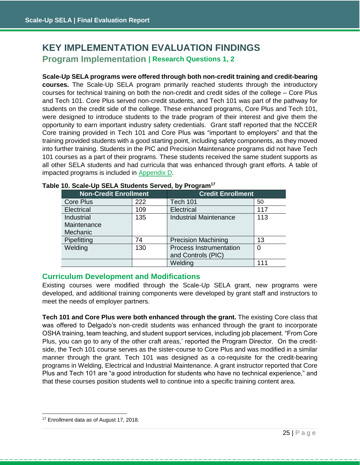## <span id="page-25-1"></span><span id="page-25-0"></span>**Program Implementation | Research Questions 1, 2 KEY IMPLEMENTATION EVALUATION FINDINGS**

**Scale-Up SELA programs were offered through both non-credit training and credit-bearing courses.** The Scale-Up SELA program primarily reached students through the introductory courses for technical training on both the non-credit and credit sides of the college – Core Plus and Tech 101. Core Plus served non-credit students, and Tech 101 was part of the pathway for students on the credit side of the college. These enhanced programs, Core Plus and Tech 101, were designed to introduce students to the trade program of their interest and give them the opportunity to earn important industry safety credentials. Grant staff reported that the NCCER Core training provided in Tech 101 and Core Plus was "important to employers" and that the training provided students with a good starting point, including safety components, as they moved into further training. Students in the PIC and Precision Maintenance programs did not have Tech 101 courses as a part of their programs. These students received the same student supports as all other SELA students and had curricula that was enhanced through grant efforts. A table of impacted programs is included in [Appendix D.](#page-56-0)

| <b>Non-Credit Enrollment</b> |     | <b>Credit Enrollment</b>       |     |  |
|------------------------------|-----|--------------------------------|-----|--|
| Core Plus                    | 222 | <b>Tech 101</b>                | 50  |  |
| Electrical                   | 109 | Electrical                     | 117 |  |
| Industrial                   | 135 | <b>Industrial Maintenance</b>  | 113 |  |
| Maintenance                  |     |                                |     |  |
| Mechanic                     |     |                                |     |  |
| Pipefitting                  | 74  | <b>Precision Machining</b>     | 13  |  |
| Welding                      | 130 | <b>Process Instrumentation</b> | 0   |  |
|                              |     | and Controls (PIC)             |     |  |
|                              |     | Welding                        | 111 |  |

## **Table 10. Scale-Up SELA Students Served, by Program<sup>17</sup>**

## <span id="page-25-2"></span>**Curriculum Development and Modifications**

Existing courses were modified through the Scale-Up SELA grant, new programs were developed, and additional training components were developed by grant staff and instructors to meet the needs of employer partners.

**Tech 101 and Core Plus were both enhanced through the grant.** The existing Core class that was offered to Delgado's non-credit students was enhanced through the grant to incorporate OSHA training, team teaching, and student support services, including job placement. "From Core Plus, you can go to any of the other craft areas,' reported the Program Director. On the creditside, the Tech 101 course serves as the sister-course to Core Plus and was modified in a similar manner through the grant. Tech 101 was designed as a co-requisite for the credit-bearing programs in Welding, Electrical and Industrial Maintenance. A grant instructor reported that Core Plus and Tech 101 are "a good introduction for students who have no technical experience," and that these courses position students well to continue into a specific training content area.

<sup>&</sup>lt;sup>17</sup> Enrollment data as of August 17, 2018.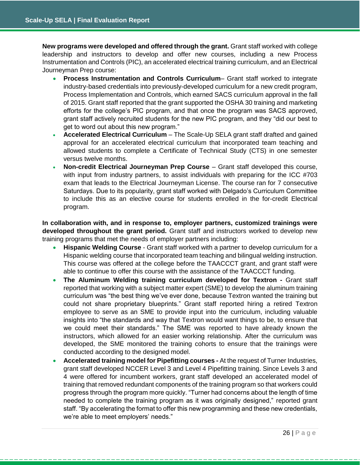**New programs were developed and offered through the grant.** Grant staff worked with college leadership and instructors to develop and offer new courses, including a new Process Instrumentation and Controls (PIC), an accelerated electrical training curriculum, and an Electrical Journeyman Prep course:

- **Process Instrumentation and Controls Curriculum** Grant staff worked to integrate industry-based credentials into previously-developed curriculum for a new credit program, Process Implementation and Controls, which earned SACS curriculum approval in the fall of 2015. Grant staff reported that the grant supported the OSHA 30 training and marketing efforts for the college's PIC program, and that once the program was SACS approved, grant staff actively recruited students for the new PIC program, and they "did our best to get to word out about this new program."
- **Accelerated Electrical Curriculum**  The Scale-Up SELA grant staff drafted and gained approval for an accelerated electrical curriculum that incorporated team teaching and allowed students to complete a Certificate of Technical Study (CTS) in one semester versus twelve months.
- **Non-credit Electrical Journeyman Prep Course** Grant staff developed this course, with input from industry partners, to assist individuals with preparing for the ICC #703 exam that leads to the Electrical Journeyman License. The course ran for 7 consecutive Saturdays. Due to its popularity, grant staff worked with Delgado's Curriculum Committee to include this as an elective course for students enrolled in the for-credit Electrical program.

**In collaboration with, and in response to, employer partners, customized trainings were developed throughout the grant period.** Grant staff and instructors worked to develop new training programs that met the needs of employer partners including:

- **Hispanic Welding Course** Grant staff worked with a partner to develop curriculum for a Hispanic welding course that incorporated team teaching and bilingual welding instruction. This course was offered at the college before the TAACCCT grant, and grant staff were able to continue to offer this course with the assistance of the TAACCCT funding.
- **The Aluminum Welding training curriculum developed for Textron -** Grant staff reported that working with a subject matter expert (SME) to develop the aluminum training curriculum was "the best thing we've ever done, because Textron wanted the training but could not share proprietary blueprints." Grant staff reported hiring a retired Textron employee to serve as an SME to provide input into the curriculum, including valuable insights into "the standards and way that Textron would want things to be, to ensure that we could meet their standards." The SME was reported to have already known the instructors, which allowed for an easier working relationship. After the curriculum was developed, the SME monitored the training cohorts to ensure that the trainings were conducted according to the designed model.
- **Accelerated training model for Pipefitting courses -** At the request of Turner Industries, grant staff developed NCCER Level 3 and Level 4 Pipefitting training. Since Levels 3 and 4 were offered for incumbent workers, grant staff developed an accelerated model of training that removed redundant components of the training program so that workers could progress through the program more quickly. "Turner had concerns about the length of time needed to complete the training program as it was originally designed," reported grant staff. "By accelerating the format to offer this new programming and these new credentials, we're able to meet employers' needs."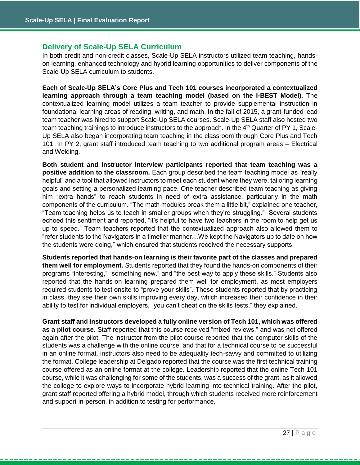## **Delivery of Scale-Up SELA Curriculum**

In both credit and non-credit classes, Scale-Up SELA instructors utilized team teaching, handson learning, enhanced technology and hybrid learning opportunities to deliver components of the Scale-Up SELA curriculum to students.

**Each of Scale-Up SELA's Core Plus and Tech 101 courses incorporated a contextualized learning approach through a team teaching model (based on the I-BEST Model)**. The contextualized learning model utilizes a team teacher to provide supplemental instruction in foundational learning areas of reading, writing, and math. In the fall of 2015, a grant-funded lead team teacher was hired to support Scale-Up SELA courses. Scale-Up SELA staff also hosted two team teaching trainings to introduce instructors to the approach. In the 4<sup>th</sup> Quarter of PY 1, Scale-Up SELA also began incorporating team teaching in the classroom through Core Plus and Tech 101. In PY 2, grant staff introduced team teaching to two additional program areas – Electrical and Welding.

**Both student and instructor interview participants reported that team teaching was a positive addition to the classroom.** Each group described the team teaching model as "really helpful" and a tool that allowed instructors to meet each student where they were, tailoring learning goals and setting a personalized learning pace. One teacher described team teaching as giving him "extra hands" to reach students in need of extra assistance, particularly in the math components of the curriculum. "The math modules break them a little bit," explained one teacher, "Team teaching helps us to teach in smaller groups when they're struggling." Several students echoed this sentiment and reported, "it's helpful to have two teachers in the room to help get us up to speed." Team teachers reported that the contextualized approach also allowed them to "refer students to the Navigators in a timelier manner…We kept the Navigators up to date on how the students were doing," which ensured that students received the necessary supports.

**Students reported that hands-on learning is their favorite part of the classes and prepared them well for employment.** Students reported that they found the hands-on components of their programs "interesting," "something new," and "the best way to apply these skills." Students also reported that the hands-on learning prepared them well for employment, as most employers required students to test onsite to "prove your skills". These students reported that by practicing in class, they see their own skills improving every day, which increased their confidence in their ability to test for individual employers, "you can't cheat on the skills tests," they explained.

**Grant staff and instructors developed a fully online version of Tech 101, which was offered as a pilot course**. Staff reported that this course received "mixed reviews," and was not offered again after the pilot. The instructor from the pilot course reported that the computer skills of the students was a challenge with the online course, and that for a technical course to be successful in an online format, instructors also need to be adequality tech-savvy and committed to utilizing the format. College leadership at Delgado reported that the course was the first technical training course offered as an online format at the college. Leadership reported that the online Tech 101 course, while it was challenging for some of the students, was a success of the grant, as it allowed the college to explore ways to incorporate hybrid learning into technical training. After the pilot, grant staff reported offering a hybrid model, through which students received more reinforcement and support in-person, in addition to testing for performance.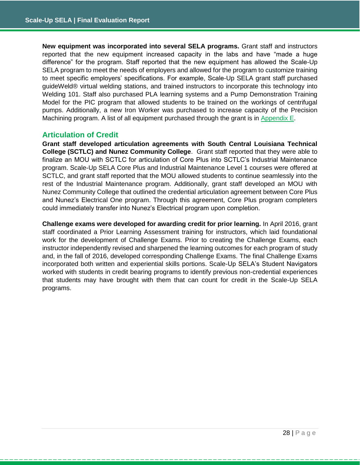**New equipment was incorporated into several SELA programs.** Grant staff and instructors reported that the new equipment increased capacity in the labs and have "made a huge difference" for the program. Staff reported that the new equipment has allowed the Scale-Up SELA program to meet the needs of employers and allowed for the program to customize training to meet specific employers' specifications. For example, Scale-Up SELA grant staff purchased guideWeld® virtual welding stations, and trained instructors to incorporate this technology into Welding 101. Staff also purchased PLA learning systems and a Pump Demonstration Training Model for the PIC program that allowed students to be trained on the workings of centrifugal pumps. Additionally, a new Iron Worker was purchased to increase capacity of the Precision Machining program. A list of all equipment purchased through the grant is in [Appendix E.](#page-59-0)

## **Articulation of Credit**

**Grant staff developed articulation agreements with South Central Louisiana Technical College (SCTLC) and Nunez Community College**. Grant staff reported that they were able to finalize an MOU with SCTLC for articulation of Core Plus into SCTLC's Industrial Maintenance program. Scale-Up SELA Core Plus and Industrial Maintenance Level 1 courses were offered at SCTLC, and grant staff reported that the MOU allowed students to continue seamlessly into the rest of the Industrial Maintenance program. Additionally, grant staff developed an MOU with Nunez Community College that outlined the credential articulation agreement between Core Plus and Nunez's Electrical One program. Through this agreement, Core Plus program completers could immediately transfer into Nunez's Electrical program upon completion.

**Challenge exams were developed for awarding credit for prior learning.** In April 2016, grant staff coordinated a Prior Learning Assessment training for instructors, which laid foundational work for the development of Challenge Exams. Prior to creating the Challenge Exams, each instructor independently revised and sharpened the learning outcomes for each program of study and, in the fall of 2016, developed corresponding Challenge Exams. The final Challenge Exams incorporated both written and experiential skills portions. Scale-Up SELA's Student Navigators worked with students in credit bearing programs to identify previous non-credential experiences that students may have brought with them that can count for credit in the Scale-Up SELA programs.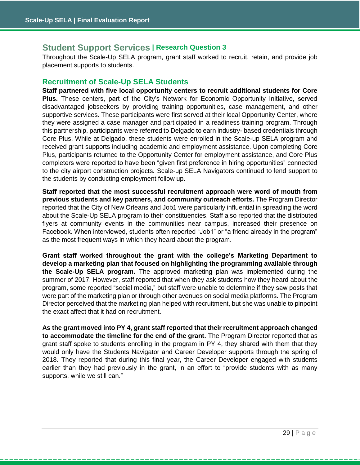## <span id="page-29-0"></span>**Student Support Services | Research Question 3**

Throughout the Scale-Up SELA program, grant staff worked to recruit, retain, and provide job placement supports to students.

## **Recruitment of Scale-Up SELA Students**

**Staff partnered with five local opportunity centers to recruit additional students for Core Plus.** These centers, part of the City's Network for Economic Opportunity Initiative, served disadvantaged jobseekers by providing training opportunities, case management, and other supportive services. These participants were first served at their local Opportunity Center, where they were assigned a case manager and participated in a readiness training program. Through this partnership, participants were referred to Delgado to earn industry- based credentials through Core Plus. While at Delgado, these students were enrolled in the Scale-up SELA program and received grant supports including academic and employment assistance. Upon completing Core Plus, participants returned to the Opportunity Center for employment assistance, and Core Plus completers were reported to have been "given first preference in hiring opportunities" connected to the city airport construction projects. Scale-up SELA Navigators continued to lend support to the students by conducting employment follow up.

**Staff reported that the most successful recruitment approach were word of mouth from previous students and key partners, and community outreach efforts.** The Program Director reported that the City of New Orleans and Job1 were particularly influential in spreading the word about the Scale-Up SELA program to their constituencies. Staff also reported that the distributed flyers at community events in the communities near campus, increased their presence on Facebook. When interviewed, students often reported "Job1" or "a friend already in the program" as the most frequent ways in which they heard about the program.

**Grant staff worked throughout the grant with the college's Marketing Department to develop a marketing plan that focused on highlighting the programming available through the Scale-Up SELA program.** The approved marketing plan was implemented during the summer of 2017. However, staff reported that when they ask students how they heard about the program, some reported "social media," but staff were unable to determine if they saw posts that were part of the marketing plan or through other avenues on social media platforms. The Program Director perceived that the marketing plan helped with recruitment, but she was unable to pinpoint the exact affect that it had on recruitment.

**As the grant moved into PY 4, grant staff reported that their recruitment approach changed to accommodate the timeline for the end of the grant.** The Program Director reported that as grant staff spoke to students enrolling in the program in PY 4, they shared with them that they would only have the Students Navigator and Career Developer supports through the spring of 2018. They reported that during this final year, the Career Developer engaged with students earlier than they had previously in the grant, in an effort to "provide students with as many supports, while we still can."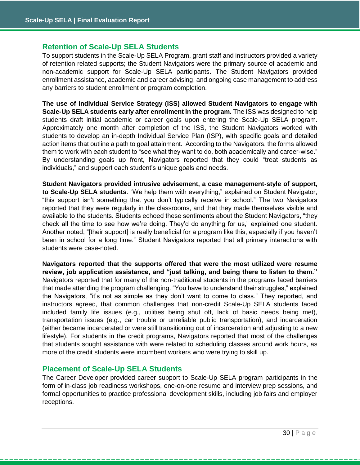## **Retention of Scale-Up SELA Students**

To support students in the Scale-Up SELA Program, grant staff and instructors provided a variety of retention related supports; the Student Navigators were the primary source of academic and non-academic support for Scale-Up SELA participants. The Student Navigators provided enrollment assistance, academic and career advising, and ongoing case management to address any barriers to student enrollment or program completion.

**The use of Individual Service Strategy (ISS) allowed Student Navigators to engage with Scale-Up SELA students early after enrollment in the program.** The ISS was designed to help students draft initial academic or career goals upon entering the Scale-Up SELA program. Approximately one month after completion of the ISS, the Student Navigators worked with students to develop an in-depth Individual Service Plan (ISP), with specific goals and detailed action items that outline a path to goal attainment. According to the Navigators, the forms allowed them to work with each student to "see what they want to do, both academically and career-wise." By understanding goals up front, Navigators reported that they could "treat students as individuals," and support each student's unique goals and needs.

**Student Navigators provided intrusive advisement, a case management-style of support, to Scale-Up SELA students**. "We help them with everything," explained on Student Navigator, "this support isn't something that you don't typically receive in school." The two Navigators reported that they were regularly in the classrooms, and that they made themselves visible and available to the students. Students echoed these sentiments about the Student Navigators, "they check all the time to see how we're doing. They'd do anything for us," explained one student. Another noted, "[their support] is really beneficial for a program like this, especially if you haven't been in school for a long time." Student Navigators reported that all primary interactions with students were case-noted.

**Navigators reported that the supports offered that were the most utilized were resume review, job application assistance, and "just talking, and being there to listen to them."** Navigators reported that for many of the non-traditional students in the programs faced barriers that made attending the program challenging. "You have to understand their struggles," explained the Navigators, "it's not as simple as they don't want to come to class." They reported, and instructors agreed, that common challenges that non-credit Scale-Up SELA students faced included family life issues (e.g., utilities being shut off, lack of basic needs being met), transportation issues (e.g., car trouble or unreliable public transportation), and incarceration (either became incarcerated or were still transitioning out of incarceration and adjusting to a new lifestyle). For students in the credit programs, Navigators reported that most of the challenges that students sought assistance with were related to scheduling classes around work hours, as more of the credit students were incumbent workers who were trying to skill up.

## **Placement of Scale-Up SELA Students**

The Career Developer provided career support to Scale-Up SELA program participants in the form of in-class job readiness workshops, one-on-one resume and interview prep sessions, and formal opportunities to practice professional development skills, including job fairs and employer receptions.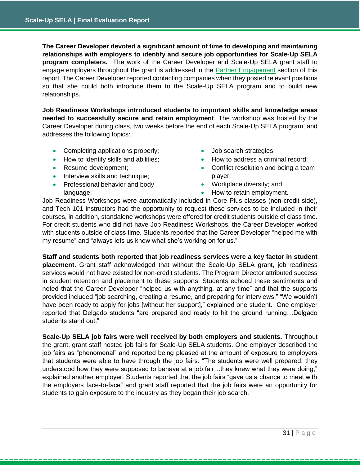**The Career Developer devoted a significant amount of time to developing and maintaining relationships with employers to identify and secure job opportunities for Scale-Up SELA program completers.** The work of the Career Developer and Scale-Up SELA grant staff to engage employers throughout the grant is addressed in the [Partner Engagement](#page-32-0) section of this report. The Career Developer reported contacting companies when they posted relevant positions so that she could both introduce them to the Scale-Up SELA program and to build new relationships.

**Job Readiness Workshops introduced students to important skills and knowledge areas needed to successfully secure and retain employment**. The workshop was hosted by the Career Developer during class, two weeks before the end of each Scale-Up SELA program, and addresses the following topics:

- Completing applications properly;
- How to identify skills and abilities;
- Resume development;
- Interview skills and technique;
- Professional behavior and body language;
- Job search strategies;
- How to address a criminal record;
- Conflict resolution and being a team player;
- Workplace diversity; and
- How to retain employment.

Job Readiness Workshops were automatically included in Core Plus classes (non-credit side), and Tech 101 instructors had the opportunity to request these services to be included in their courses, in addition, standalone workshops were offered for credit students outside of class time. For credit students who did not have Job Readiness Workshops, the Career Developer worked with students outside of class time. Students reported that the Career Developer "helped me with my resume" and "always lets us know what she's working on for us."

**Staff and students both reported that job readiness services were a key factor in student placement.** Grant staff acknowledged that without the Scale-Up SELA grant, job readiness services would not have existed for non-credit students. The Program Director attributed success in student retention and placement to these supports. Students echoed these sentiments and noted that the Career Developer "helped us with anything, at any time" and that the supports provided included "job searching, creating a resume, and preparing for interviews." "We wouldn't have been ready to apply for jobs [without her support]," explained one student. One employer reported that Delgado students "are prepared and ready to hit the ground running…Delgado students stand out."

**Scale-Up SELA job fairs were well received by both employers and students.** Throughout the grant, grant staff hosted job fairs for Scale-Up SELA students. One employer described the job fairs as "phenomenal" and reported being pleased at the amount of exposure to employers that students were able to have through the job fairs. "The students were well prepared, they understood how they were supposed to behave at a job fair…they knew what they were doing," explained another employer. Students reported that the job fairs "gave us a chance to meet with the employers face-to-face" and grant staff reported that the job fairs were an opportunity for students to gain exposure to the industry as they began their job search.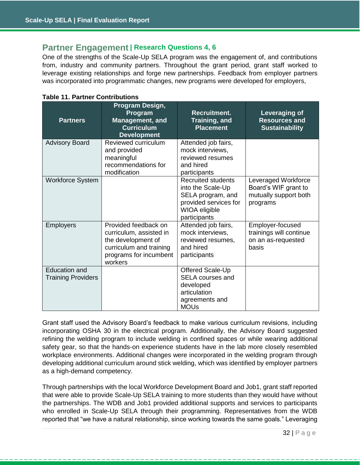## <span id="page-32-0"></span>**Partner Engagement | Research Questions 4, 6**

One of the strengths of the Scale-Up SELA program was the engagement of, and contributions from, industry and community partners. Throughout the grant period, grant staff worked to leverage existing relationships and forge new partnerships. Feedback from employer partners was incorporated into programmatic changes, new programs were developed for employers,

| <b>Partners</b>                                   | Program Design,<br>Program<br><b>Management, and</b><br><b>Curriculum</b><br><b>Development</b>                                       | Recruitment.<br>Training, and<br><b>Placement</b>                                                                             | Leveraging of<br><b>Resources and</b><br><b>Sustainability</b>                   |
|---------------------------------------------------|---------------------------------------------------------------------------------------------------------------------------------------|-------------------------------------------------------------------------------------------------------------------------------|----------------------------------------------------------------------------------|
| <b>Advisory Board</b>                             | Reviewed curriculum<br>and provided<br>meaningful<br>recommendations for<br>modification                                              | Attended job fairs,<br>mock interviews,<br>reviewed resumes<br>and hired<br>participants                                      |                                                                                  |
| <b>Workforce System</b>                           |                                                                                                                                       | <b>Recruited students</b><br>into the Scale-Up<br>SELA program, and<br>provided services for<br>WIOA eligible<br>participants | Leveraged Workforce<br>Board's WIF grant to<br>mutually support both<br>programs |
| <b>Employers</b>                                  | Provided feedback on<br>curriculum, assisted in<br>the development of<br>curriculum and training<br>programs for incumbent<br>workers | Attended job fairs,<br>mock interviews,<br>reviewed resumes,<br>and hired<br>participants                                     | Employer-focused<br>trainings will continue<br>on an as-requested<br>basis       |
| <b>Education and</b><br><b>Training Providers</b> |                                                                                                                                       | Offered Scale-Up<br><b>SELA</b> courses and<br>developed<br>articulation<br>agreements and<br><b>MOUs</b>                     |                                                                                  |

|  |  | <b>Table 11. Partner Contributions</b> |
|--|--|----------------------------------------|
|--|--|----------------------------------------|

Grant staff used the Advisory Board's feedback to make various curriculum revisions, including incorporating OSHA 30 in the electrical program. Additionally, the Advisory Board suggested refining the welding program to include welding in confined spaces or while wearing additional safety gear, so that the hands-on experience students have in the lab more closely resembled workplace environments. Additional changes were incorporated in the welding program through developing additional curriculum around stick welding, which was identified by employer partners as a high-demand competency.

Through partnerships with the local Workforce Development Board and Job1, grant staff reported that were able to provide Scale-Up SELA training to more students than they would have without the partnerships. The WDB and Job1 provided additional supports and services to participants who enrolled in Scale-Up SELA through their programming. Representatives from the WDB reported that "we have a natural relationship, since working towards the same goals." Leveraging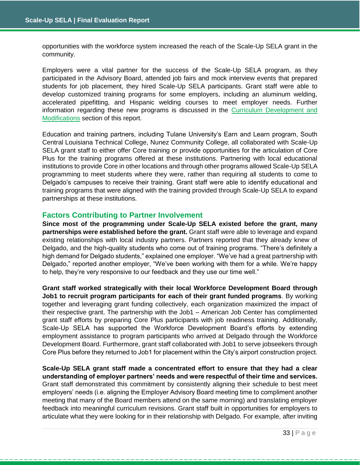opportunities with the workforce system increased the reach of the Scale-Up SELA grant in the community.

Employers were a vital partner for the success of the Scale-Up SELA program, as they participated in the Advisory Board, attended job fairs and mock interview events that prepared students for job placement, they hired Scale-Up SELA participants. Grant staff were able to develop customized training programs for some employers, including an aluminum welding, accelerated pipefitting, and Hispanic welding courses to meet employer needs. Further information regarding these new programs is discussed in the [Curriculum Development and](#page-25-2)  [Modifications](#page-25-2) section of this report.

Education and training partners, including Tulane University's Earn and Learn program, South Central Louisiana Technical College, Nunez Community College, all collaborated with Scale-Up SELA grant staff to either offer Core training or provide opportunities for the articulation of Core Plus for the training programs offered at these institutions. Partnering with local educational institutions to provide Core in other locations and through other programs allowed Scale-Up SELA programming to meet students where they were, rather than requiring all students to come to Delgado's campuses to receive their training. Grant staff were able to identify educational and training programs that were aligned with the training provided through Scale-Up SELA to expand partnerships at these institutions.

## **Factors Contributing to Partner Involvement**

**Since most of the programming under Scale-Up SELA existed before the grant, many partnerships were established before the grant.** Grant staff were able to leverage and expand existing relationships with local industry partners. Partners reported that they already knew of Delgado, and the high-quality students who come out of training programs. "There's definitely a high demand for Delgado students," explained one employer. "We've had a great partnership with Delgado," reported another employer, "We've been working with them for a while. We're happy to help, they're very responsive to our feedback and they use our time well."

**Grant staff worked strategically with their local Workforce Development Board through Job1 to recruit program participants for each of their grant funded programs**. By working together and leveraging grant funding collectively, each organization maximized the impact of their respective grant. The partnership with the Job1 – American Job Center has complimented grant staff efforts by preparing Core Plus participants with job readiness training. Additionally, Scale-Up SELA has supported the Workforce Development Board's efforts by extending employment assistance to program participants who arrived at Delgado through the Workforce Development Board. Furthermore, grant staff collaborated with Job1 to serve jobseekers through Core Plus before they returned to Job1 for placement within the City's airport construction project.

**Scale-Up SELA grant staff made a concentrated effort to ensure that they had a clear understanding of employer partners' needs and were respectful of their time and services.** Grant staff demonstrated this commitment by consistently aligning their schedule to best meet employers' needs (i.e. aligning the Employer Advisory Board meeting time to compliment another meeting that many of the Board members attend on the same morning) and translating employer feedback into meaningful curriculum revisions. Grant staff built in opportunities for employers to articulate what they were looking for in their relationship with Delgado. For example, after inviting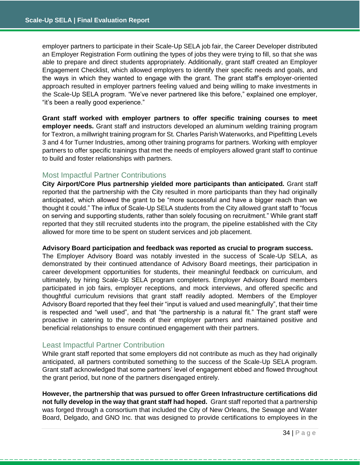employer partners to participate in their Scale-Up SELA job fair, the Career Developer distributed an Employer Registration Form outlining the types of jobs they were trying to fill, so that she was able to prepare and direct students appropriately. Additionally, grant staff created an Employer Engagement Checklist, which allowed employers to identify their specific needs and goals, and the ways in which they wanted to engage with the grant. The grant staff's employer-oriented approach resulted in employer partners feeling valued and being willing to make investments in the Scale-Up SELA program. "We've never partnered like this before," explained one employer, "it's been a really good experience."

**Grant staff worked with employer partners to offer specific training courses to meet employer needs.** Grant staff and instructors developed an aluminum welding training program for Textron, a millwright training program for St. Charles Parish Waterworks, and Pipefitting Levels 3 and 4 for Turner Industries, among other training programs for partners. Working with employer partners to offer specific trainings that met the needs of employers allowed grant staff to continue to build and foster relationships with partners.

## Most Impactful Partner Contributions

**City Airport/Core Plus partnership yielded more participants than anticipated.** Grant staff reported that the partnership with the City resulted in more participants than they had originally anticipated, which allowed the grant to be "more successful and have a bigger reach than we thought it could." The influx of Scale-Up SELA students from the City allowed grant staff to "focus on serving and supporting students, rather than solely focusing on recruitment." While grant staff reported that they still recruited students into the program, the pipeline established with the City allowed for more time to be spent on student services and job placement.

#### **Advisory Board participation and feedback was reported as crucial to program success.**

The Employer Advisory Board was notably invested in the success of Scale-Up SELA, as demonstrated by their continued attendance of Advisory Board meetings, their participation in career development opportunities for students, their meaningful feedback on curriculum, and ultimately, by hiring Scale-Up SELA program completers. Employer Advisory Board members participated in job fairs, employer receptions, and mock interviews, and offered specific and thoughtful curriculum revisions that grant staff readily adopted. Members of the Employer Advisory Board reported that they feel their "input is valued and used meaningfully", that their time is respected and "well used", and that "the partnership is a natural fit." The grant staff were proactive in catering to the needs of their employer partners and maintained positive and beneficial relationships to ensure continued engagement with their partners.

## Least Impactful Partner Contribution

While grant staff reported that some employers did not contribute as much as they had originally anticipated, all partners contributed something to the success of the Scale-Up SELA program. Grant staff acknowledged that some partners' level of engagement ebbed and flowed throughout the grant period, but none of the partners disengaged entirely.

**However, the partnership that was pursued to offer Green Infrastructure certifications did not fully develop in the way that grant staff had hoped.** Grant staff reported that a partnership was forged through a consortium that included the City of New Orleans, the Sewage and Water Board, Delgado, and GNO Inc. that was designed to provide certifications to employees in the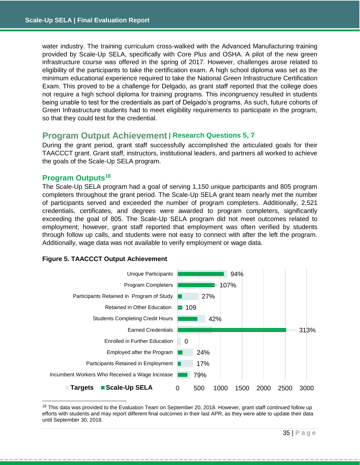water industry. The training curriculum cross-walked with the Advanced Manufacturing training provided by Scale-Up SELA, specifically with Core Plus and OSHA. A pilot of the new green infrastructure course was offered in the spring of 2017. However, challenges arose related to eligibility of the participants to take the certification exam. A high school diploma was set as the minimum educational experience required to take the National Green Infrastructure Certification Exam. This proved to be a challenge for Delgado, as grant staff reported that the college does not require a high school diploma for training programs. This incongruency resulted in students being unable to test for the credentials as part of Delgado's programs. As such, future cohorts of Green Infrastructure students had to meet eligibility requirements to participate in the program, so that they could test for the credential.

## <span id="page-35-0"></span>**Program Output Achievement | Research Questions 5, 7**

During the grant period, grant staff successfully accomplished the articulated goals for their TAACCCT grant. Grant staff, instructors, institutional leaders, and partners all worked to achieve the goals of the Scale-Up SELA program.

## **Program Outputs<sup>18</sup>**

The Scale-Up SELA program had a goal of serving 1,150 unique participants and 805 program completers throughout the grant period. The Scale-Up SELA grant team nearly met the number of participants served and exceeded the number of program completers. Additionally, 2,521 credentials, certificates, and degrees were awarded to program completers, significantly exceeding the goal of 805. The Scale-Up SELA program did not meet outcomes related to employment; however, grant staff reported that employment was often verified by students through follow up calls, and students were not easy to connect with after the left the program. Additionally, wage data was not available to verify employment or wage data.

## **Figure 5. TAACCCT Output Achievement**



<sup>&</sup>lt;sup>18</sup> This data was provided to the Evaluation Team on September 20, 2018. However, grant staff continued follow up efforts with students and may report different final outcomes in their last APR, as they were able to update their data until September 30, 2018.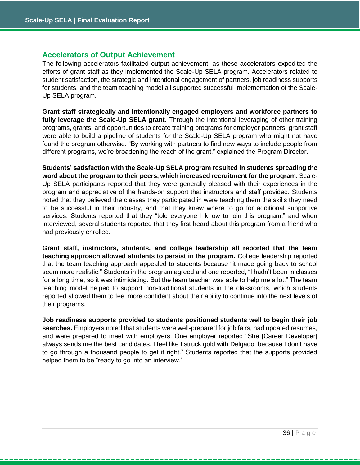## **Accelerators of Output Achievement**

The following accelerators facilitated output achievement, as these accelerators expedited the efforts of grant staff as they implemented the Scale-Up SELA program. Accelerators related to student satisfaction, the strategic and intentional engagement of partners, job readiness supports for students, and the team teaching model all supported successful implementation of the Scale-Up SELA program.

**Grant staff strategically and intentionally engaged employers and workforce partners to fully leverage the Scale-Up SELA grant.** Through the intentional leveraging of other training programs, grants, and opportunities to create training programs for employer partners, grant staff were able to build a pipeline of students for the Scale-Up SELA program who might not have found the program otherwise. "By working with partners to find new ways to include people from different programs, we're broadening the reach of the grant," explained the Program Director.

**Students' satisfaction with the Scale-Up SELA program resulted in students spreading the word about the program to their peers, which increased recruitment for the program.** Scale-Up SELA participants reported that they were generally pleased with their experiences in the program and appreciative of the hands-on support that instructors and staff provided. Students noted that they believed the classes they participated in were teaching them the skills they need to be successful in their industry, and that they knew where to go for additional supportive services. Students reported that they "told everyone I know to join this program," and when interviewed, several students reported that they first heard about this program from a friend who had previously enrolled.

**Grant staff, instructors, students, and college leadership all reported that the team teaching approach allowed students to persist in the program.** College leadership reported that the team teaching approach appealed to students because "it made going back to school seem more realistic." Students in the program agreed and one reported, "I hadn't been in classes for a long time, so it was intimidating. But the team teacher was able to help me a lot." The team teaching model helped to support non-traditional students in the classrooms, which students reported allowed them to feel more confident about their ability to continue into the next levels of their programs.

**Job readiness supports provided to students positioned students well to begin their job searches.** Employers noted that students were well-prepared for job fairs, had updated resumes, and were prepared to meet with employers. One employer reported "She [Career Developer] always sends me the best candidates. I feel like I struck gold with Delgado, because I don't have to go through a thousand people to get it right." Students reported that the supports provided helped them to be "ready to go into an interview."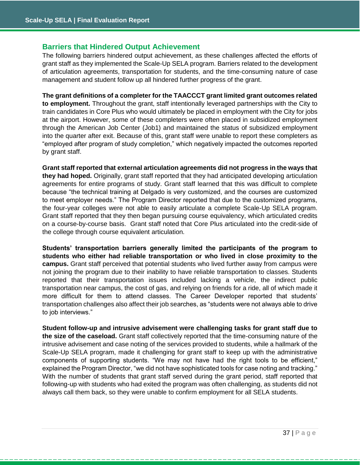## **Barriers that Hindered Output Achievement**

The following barriers hindered output achievement, as these challenges affected the efforts of grant staff as they implemented the Scale-Up SELA program. Barriers related to the development of articulation agreements, transportation for students, and the time-consuming nature of case management and student follow up all hindered further progress of the grant.

**The grant definitions of a completer for the TAACCCT grant limited grant outcomes related to employment.** Throughout the grant, staff intentionally leveraged partnerships with the City to train candidates in Core Plus who would ultimately be placed in employment with the City for jobs at the airport. However, some of these completers were often placed in subsidized employment through the American Job Center (Job1) and maintained the status of subsidized employment into the quarter after exit. Because of this, grant staff were unable to report these completers as "employed after program of study completion," which negatively impacted the outcomes reported by grant staff.

**Grant staff reported that external articulation agreements did not progress in the ways that they had hoped.** Originally, grant staff reported that they had anticipated developing articulation agreements for entire programs of study. Grant staff learned that this was difficult to complete because "the technical training at Delgado is very customized, and the courses are customized to meet employer needs." The Program Director reported that due to the customized programs, the four-year colleges were not able to easily articulate a complete Scale-Up SELA program. Grant staff reported that they then began pursuing course equivalency, which articulated credits on a course-by-course basis. Grant staff noted that Core Plus articulated into the credit-side of the college through course equivalent articulation.

**Students' transportation barriers generally limited the participants of the program to students who either had reliable transportation or who lived in close proximity to the campus.** Grant staff perceived that potential students who lived further away from campus were not joining the program due to their inability to have reliable transportation to classes. Students reported that their transportation issues included lacking a vehicle, the indirect public transportation near campus, the cost of gas, and relying on friends for a ride, all of which made it more difficult for them to attend classes. The Career Developer reported that students' transportation challenges also affect their job searches, as "students were not always able to drive to job interviews."

**Student follow-up and intrusive advisement were challenging tasks for grant staff due to the size of the caseload.** Grant staff collectively reported that the time-consuming nature of the intrusive advisement and case noting of the services provided to students, while a hallmark of the Scale-Up SELA program, made it challenging for grant staff to keep up with the administrative components of supporting students. "We may not have had the right tools to be efficient," explained the Program Director, "we did not have sophisticated tools for case noting and tracking." With the number of students that grant staff served during the grant period, staff reported that following-up with students who had exited the program was often challenging, as students did not always call them back, so they were unable to confirm employment for all SELA students.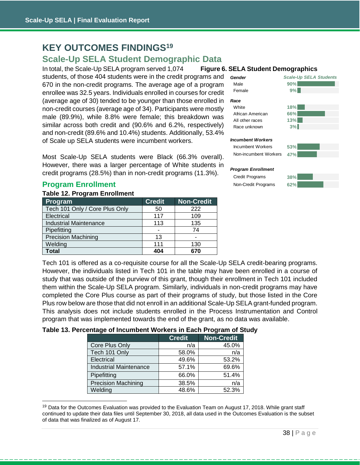## <span id="page-38-0"></span>**KEY OUTCOMES FINDINGS<sup>19</sup>**

## <span id="page-38-1"></span>**Scale-Up SELA Student Demographic Data**

In total, the Scale-Up SELA program served 1,074 **Figure 6. SELA Student Demographics** students, of those 404 students were in the credit programs and 670 in the non-credit programs. The average age of a program enrollee was 32.5 years. Individuals enrolled in courses for credit (average age of 30) tended to be younger than those enrolled in non-credit courses (average age of 34). Participants were mostly male (89.9%), while 8.8% were female; this breakdown was similar across both credit and (90.6% and 6.2%, respectively) and non-credit (89.6% and 10.4%) students. Additionally, 53.4% of Scale up SELA students were incumbent workers.

Most Scale-Up SELA students were Black (66.3% overall). However, there was a larger percentage of White students in credit programs (28.5%) than in non-credit programs (11.3%).

## **Program Enrollment**

#### **Table 12. Program Enrollment**

| Program                        | <b>Credit</b> | <b>Non-Credit</b> |
|--------------------------------|---------------|-------------------|
| Tech 101 Only / Core Plus Only | 50            | 222               |
| Electrical                     | 117           | 109               |
| <b>Industrial Maintenance</b>  | 113           | 135               |
| Pipefitting                    |               | 74                |
| <b>Precision Machining</b>     | 13            |                   |
| Welding                        | 111           | 130               |
| Total                          | 404           | 670               |



Tech 101 is offered as a co-requisite course for all the Scale-Up SELA credit-bearing programs. However, the individuals listed in Tech 101 in the table may have been enrolled in a course of study that was outside of the purview of this grant, though their enrollment in Tech 101 included them within the Scale-Up SELA program. Similarly, individuals in non-credit programs may have completed the Core Plus course as part of their programs of study, but those listed in the Core Plus row below are those that did not enroll in an additional Scale-Up SELA grant-funded program. This analysis does not include students enrolled in the Process Instrumentation and Control program that was implemented towards the end of the grant, as no data was available.

#### **Table 13. Percentage of Incumbent Workers in Each Program of Study**

|                               | <b>Credit</b> | <b>Non-Credit</b> |
|-------------------------------|---------------|-------------------|
| Core Plus Only                | n/a           | 45.0%             |
| Tech 101 Only                 | 58.0%         | n/a               |
| Electrical                    | 49.6%         | 53.2%             |
| <b>Industrial Maintenance</b> | 57.1%         | 69.6%             |
| Pipefitting                   | 66.0%         | 51.4%             |
| <b>Precision Machining</b>    | 38.5%         | n/a               |
| Welding                       | 48.6%         | 52.3%             |

<sup>&</sup>lt;sup>19</sup> Data for the Outcomes Evaluation was provided to the Evaluation Team on August 17, 2018. While grant staff continued to update their data files until September 30, 2018, all data used in the Outcomes Evaluation is the subset of data that was finalized as of August 17.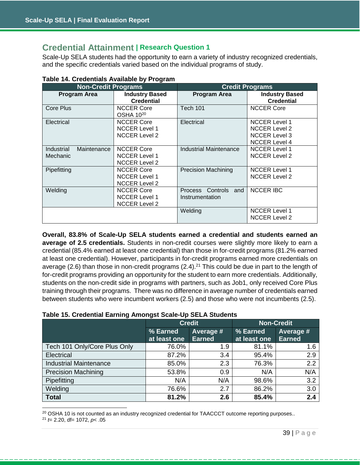## <span id="page-39-0"></span>**Credential Attainment | Research Question 1**

Scale-Up SELA students had the opportunity to earn a variety of industry recognized credentials, and the specific credentials varied based on the individual programs of study.

| <b>Non-Credit Programs</b>                   |                                                                   | <b>Credit Programs</b>                  |                                                                                              |  |  |
|----------------------------------------------|-------------------------------------------------------------------|-----------------------------------------|----------------------------------------------------------------------------------------------|--|--|
| <b>Program Area</b>                          | <b>Industry Based</b><br><b>Credential</b>                        | <b>Program Area</b>                     | <b>Industry Based</b><br><b>Credential</b>                                                   |  |  |
| Core Plus                                    | <b>NCCER Core</b><br>OSHA 10 <sup>20</sup>                        | Tech 101                                | <b>NCCER Core</b>                                                                            |  |  |
| Electrical                                   | <b>NCCER Core</b><br><b>NCCER Level 1</b><br><b>NCCER Level 2</b> | Electrical                              | <b>NCCER Level 1</b><br><b>NCCER Level 2</b><br><b>NCCER Level 3</b><br><b>NCCER Level 4</b> |  |  |
| <b>Industrial</b><br>Maintenance<br>Mechanic | <b>NCCER Core</b><br><b>NCCER Level 1</b><br><b>NCCER Level 2</b> | Industrial Maintenance                  | <b>NCCER Level 1</b><br><b>NCCER Level 2</b>                                                 |  |  |
| Pipefitting                                  | <b>NCCER Core</b><br><b>NCCER Level 1</b><br><b>NCCER Level 2</b> | <b>Precision Machining</b>              | <b>NCCER Level 1</b><br><b>NCCER Level 2</b>                                                 |  |  |
| Welding                                      | <b>NCCER Core</b><br><b>NCCER Level 1</b><br><b>NCCER Level 2</b> | Process Controls and<br>Instrumentation | <b>NCCER IBC</b>                                                                             |  |  |
|                                              |                                                                   | Welding                                 | <b>NCCER Level 1</b><br><b>NCCER Level 2</b>                                                 |  |  |

| Table 14. Credentials Available by Program |
|--------------------------------------------|
|--------------------------------------------|

**Overall, 83.8% of Scale-Up SELA students earned a credential and students earned an average of 2.5 credentials.** Students in non-credit courses were slightly more likely to earn a credential (85.4% earned at least one credential) than those in for-credit programs (81.2% earned at least one credential). However, participants in for-credit programs earned more credentials on average (2.6) than those in non-credit programs (2.4).<sup>21</sup> This could be due in part to the length of for-credit programs providing an opportunity for the student to earn more credentials. Additionally, students on the non-credit side in programs with partners, such as Job1, only received Core Plus training through their programs. There was no difference in average number of credentials earned between students who were incumbent workers (2.5) and those who were not incumbents (2.5).

## **Table 15. Credential Earning Amongst Scale-Up SELA Students**

|                               |                          | <b>Credit</b>              | <b>Non-Credit</b>        |                            |  |
|-------------------------------|--------------------------|----------------------------|--------------------------|----------------------------|--|
|                               | % Earned<br>at least one | Average #<br><b>Earned</b> | % Earned<br>at least one | Average #<br><b>Earned</b> |  |
| Tech 101 Only/Core Plus Only  | 76.0%                    | 1.9                        | 81.1%                    | 1.6                        |  |
| Electrical                    | 87.2%                    | 3.4                        | 95.4%                    | 2.9                        |  |
| <b>Industrial Maintenance</b> | 85.0%                    | 2.3                        | 76.3%                    | 2.2                        |  |
| <b>Precision Machining</b>    | 53.8%                    | 0.9                        | N/A                      | N/A                        |  |
| Pipefitting                   | N/A                      | N/A                        | 98.6%                    | 3.2                        |  |
| Welding                       | 76.6%                    | 2.7                        | 86.2%                    | 3.0                        |  |
| <b>Total</b>                  | 81.2%                    | 2.6                        | 85.4%                    | 2.4                        |  |

<sup>20</sup> OSHA 10 is not counted as an industry recognized credential for TAACCCT outcome reporting purposes..

 $\overline{a}$ 

<sup>21</sup> *t*= 2.20, df= 1072, *p*< .05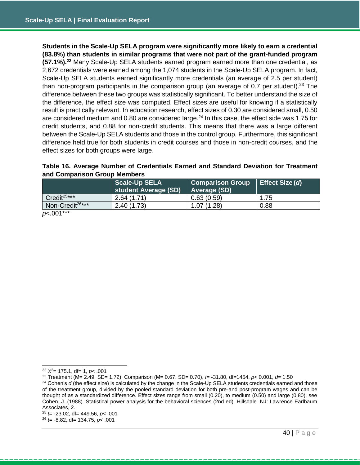**Students in the Scale-Up SELA program were significantly more likely to earn a credential (83.8%) than students in similar programs that were not part of the grant-funded program (57.1%).<sup>22</sup>** Many Scale-Up SELA students earned program earned more than one credential, as 2,672 credentials were earned among the 1,074 students in the Scale-Up SELA program. In fact, Scale-Up SELA students earned significantly more credentials (an average of 2.5 per student) than non-program participants in the comparison group (an average of 0.7 per student).<sup>23</sup> The difference between these two groups was statistically significant. To better understand the size of the difference, the effect size was computed. Effect sizes are useful for knowing if a statistically result is practically relevant. In education research, effect sizes of 0.30 are considered small, 0.50 are considered medium and 0.80 are considered large.<sup>24</sup> In this case, the effect side was 1.75 for credit students, and 0.88 for non-credit students. This means that there was a large different between the Scale-Up SELA students and those in the control group. Furthermore, this significant difference held true for both students in credit courses and those in non-credit courses, and the effect sizes for both groups were large.

## **Table 16. Average Number of Credentials Earned and Standard Deviation for Treatment and Comparison Group Members**

|                              | <b>Scale-Up SELA</b><br>student Average (SD) | <b>Comparison Group</b><br>Average (SD) | Effect Size (d) |
|------------------------------|----------------------------------------------|-----------------------------------------|-----------------|
| Credit <sup>25***</sup>      | 2.64(1.71)                                   | 0.63(0.59)                              | 1.75            |
| Non-Credit <sup>26***</sup>  | 2.40(1.73)                                   | 1.07(1.28)                              | 0.88            |
| $\sim$ 004 $\star\star\star$ |                                              |                                         |                 |

<span id="page-40-0"></span>*p*<.001\*\*\*

 $\overline{a}$ 

<sup>26</sup> *t=* -8.82, df= 134.75, *p*< .001

<sup>22</sup> *X*<sup>2</sup>= 175.1, df= 1, *p*< .001

<sup>23</sup> Treatment (M= 2.49, SD= 1.72), Comparison (M= 0.67, SD= 0.70), *t*= -31.80, df=1454, *p*< 0.001, *d*= 1.50

<sup>&</sup>lt;sup>24</sup> Cohen's *d* (the effect size) is calculated by the change in the Scale-Up SELA students credentials earned and those of the treatment group, divided by the pooled standard deviation for both pre-and post-program wages and can be thought of as a standardized difference. Effect sizes range from small (0.20), to medium (0.50) and large (0.80), see Cohen, J. (1988). Statistical power analysis for the behavioral sciences (2nd ed). Hillsdale. NJ: Lawrence Earlbaum Associates, 2.

<sup>25</sup> *t*= -23.02, df= 449.56, *p*< .001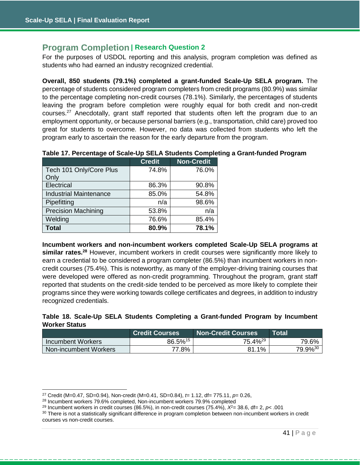## **Program Completion | Research Question 2**

For the purposes of USDOL reporting and this analysis, program completion was defined as students who had earned an industry recognized credential.

**Overall, 850 students (79.1%) completed a grant-funded Scale-Up SELA program.** The percentage of students considered program completers from credit programs (80.9%) was similar to the percentage completing non-credit courses (78.1%). Similarly, the percentages of students leaving the program before completion were roughly equal for both credit and non-credit courses.<sup>27</sup> Anecdotally, grant staff reported that students often left the program due to an employment opportunity, or because personal barriers (e.g., transportation, child care) proved too great for students to overcome. However, no data was collected from students who left the program early to ascertain the reason for the early departure from the program.

|                               | <b>Credit</b> | <b>Non-Credit</b> |
|-------------------------------|---------------|-------------------|
| Tech 101 Only/Core Plus       | 74.8%         | 76.0%             |
| Only                          |               |                   |
| Electrical                    | 86.3%         | 90.8%             |
| <b>Industrial Maintenance</b> | 85.0%         | 54.8%             |
| Pipefitting                   | n/a           | 98.6%             |
| <b>Precision Machining</b>    | 53.8%         | n/a               |
| Welding                       | 76.6%         | 85.4%             |
| <b>Total</b>                  | 80.9%         | 78.1%             |

**Table 17. Percentage of Scale-Up SELA Students Completing a Grant-funded Program**

**Incumbent workers and non-incumbent workers completed Scale-Up SELA programs at similar rates.<sup>28</sup>** However, incumbent workers in credit courses were significantly more likely to earn a credential to be considered a program completer (86.5%) than incumbent workers in noncredit courses (75.4%). This is noteworthy, as many of the employer-driving training courses that were developed were offered as non-credit programming. Throughout the program, grant staff reported that students on the credit-side tended to be perceived as more likely to complete their programs since they were working towards college certificates and degrees, in addition to industry recognized credentials.

|                      |  |  | Table 18. Scale-Up SELA Students Completing a Grant-funded Program by Incumbent |  |  |
|----------------------|--|--|---------------------------------------------------------------------------------|--|--|
| <b>Worker Status</b> |  |  |                                                                                 |  |  |

|                          | <b>Credit Courses</b> | <b>Non-Credit Courses</b> | <b>Total</b>        |
|--------------------------|-----------------------|---------------------------|---------------------|
| <b>Incumbent Workers</b> | 86.5% <sup>15</sup>   | 75.4% <sup>29</sup>       | 79.6%               |
| Non-incumbent Workers    | 77.8%                 | 81.1%                     | 79.9% <sup>30</sup> |

<sup>27</sup> Credit (M=0.47, SD=0.94), Non-credit (M=0.41, SD=0.84), *t*= 1.12, df= 775.11, *p*= 0.26,

<sup>28</sup> Incumbent workers 79.6% completed, Non-incumbent workers 79.9% completed

<sup>&</sup>lt;sup>29</sup> Incumbent workers in credit courses (86.5%), in non-credit courses (75.4%),  $X^2 = 38.6$ , df= 2,  $p$ <.001

<sup>&</sup>lt;sup>30</sup> There is not a statistically significant difference in program completion between non-incumbent workers in credit courses vs non-credit courses.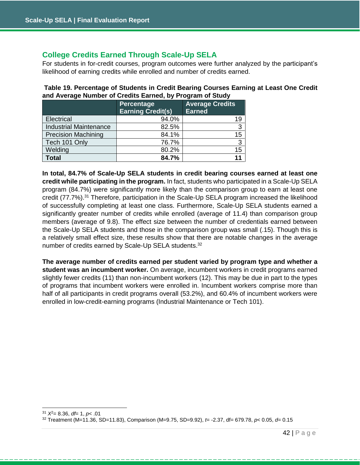## **College Credits Earned Through Scale-Up SELA**

For students in for-credit courses, program outcomes were further analyzed by the participant's likelihood of earning credits while enrolled and number of credits earned.

|                               | Percentage<br><b>Earning Credit(s)</b> | <b>Average Credits</b><br><b>Earned</b> |
|-------------------------------|----------------------------------------|-----------------------------------------|
| Electrical                    | 94.0%                                  | 19                                      |
| <b>Industrial Maintenance</b> | 82.5%                                  | 3                                       |
| <b>Precision Machining</b>    | 84.1%                                  | 15                                      |
| Tech 101 Only                 | 76.7%                                  | 3                                       |
| Welding                       | 80.2%                                  | 15                                      |
| <b>Total</b>                  | 84.7%                                  |                                         |

**Table 19. Percentage of Students in Credit Bearing Courses Earning at Least One Credit and Average Number of Credits Earned, by Program of Study**

**In total, 84.7% of Scale-Up SELA students in credit bearing courses earned at least one credit while participating in the program.** In fact, students who participated in a Scale-Up SELA program (84.7%) were significantly more likely than the comparison group to earn at least one credit (77.7%).<sup>31</sup> Therefore, participation in the Scale-Up SELA program increased the likelihood of successfully completing at least one class. Furthermore, Scale-Up SELA students earned a significantly greater number of credits while enrolled (average of 11.4) than comparison group members (average of 9.8). The effect size between the number of credentials earned between the Scale-Up SELA students and those in the comparison group was small (.15). Though this is a relatively small effect size, these results show that there are notable changes in the average number of credits earned by Scale-Up SELA students.<sup>32</sup>

<span id="page-42-0"></span>**The average number of credits earned per student varied by program type and whether a student was an incumbent worker.** On average, incumbent workers in credit programs earned slightly fewer credits (11) than non-incumbent workers (12). This may be due in part to the types of programs that incumbent workers were enrolled in. Incumbent workers comprise more than half of all participants in credit programs overall (53.2%), and 60.4% of incumbent workers were enrolled in low-credit-earning programs (Industrial Maintenance or Tech 101).

 $\overline{a}$ 

<sup>31</sup> *X*<sup>2</sup>= 8.36, *df*= 1, *p*< .01

<sup>32</sup> Treatment (M=11.36, SD=11.83), Comparison (M=9.75, SD=9.92), *t*= -2.37, df= 679.78, *p*< 0.05, *d*= 0.15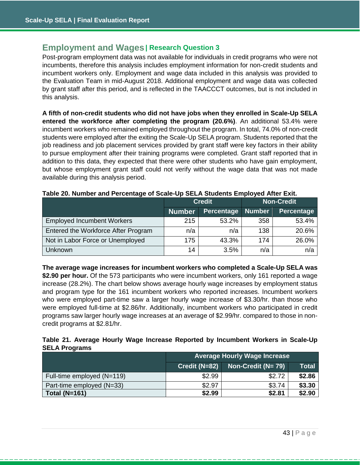## **Employment and Wages| Research Question 3**

Post-program employment data was not available for individuals in credit programs who were not incumbents, therefore this analysis includes employment information for non-credit students and incumbent workers only. Employment and wage data included in this analysis was provided to the Evaluation Team in mid-August 2018. Additional employment and wage data was collected by grant staff after this period, and is reflected in the TAACCCT outcomes, but is not included in this analysis.

**A fifth of non-credit students who did not have jobs when they enrolled in Scale-Up SELA entered the workforce after completing the program (20.6%)**. An additional 53.4% were incumbent workers who remained employed throughout the program. In total, 74.0% of non-credit students were employed after the exiting the Scale-Up SELA program. Students reported that the job readiness and job placement services provided by grant staff were key factors in their ability to pursue employment after their training programs were completed. Grant staff reported that in addition to this data, they expected that there were other students who have gain employment, but whose employment grant staff could not verify without the wage data that was not made available during this analysis period.

|                                     |               | <b>Credit</b>     | <b>Non-Credit</b> |                   |  |
|-------------------------------------|---------------|-------------------|-------------------|-------------------|--|
|                                     | <b>Number</b> | <b>Percentage</b> | <b>Number</b>     | <b>Percentage</b> |  |
| <b>Employed Incumbent Workers</b>   | 215           | 53.2%             | 358               | 53.4%             |  |
| Entered the Workforce After Program | n/a           | n/a               | 138               | 20.6%             |  |
| Not in Labor Force or Unemployed    | 175           | 43.3%             | 174               | 26.0%             |  |
| Unknown                             | 14            | 3.5%              | n/a               | n/a               |  |

#### **Table 20. Number and Percentage of Scale-Up SELA Students Employed After Exit.**

**The average wage increases for incumbent workers who completed a Scale-Up SELA was \$2.90 per hour.** Of the 573 participants who were incumbent workers, only 161 reported a wage increase (28.2%). The chart below shows average hourly wage increases by employment status and program type for the 161 incumbent workers who reported increases. Incumbent workers who were employed part-time saw a larger hourly wage increase of \$3.30/hr. than those who were employed full-time at \$2.86/hr. Additionally, incumbent workers who participated in credit programs saw larger hourly wage increases at an average of \$2.99/hr. compared to those in noncredit programs at \$2.81/hr.

## **Table 21. Average Hourly Wage Increase Reported by Incumbent Workers in Scale-Up SELA Programs**

|                            | <b>Average Hourly Wage Increase</b> |                     |              |
|----------------------------|-------------------------------------|---------------------|--------------|
|                            | Credit (N=82)                       | Non-Credit $(N=79)$ | <b>Total</b> |
| Full-time employed (N=119) | \$2.99                              | \$2.72              | \$2.86       |
| Part-time employed (N=33)  | \$2.97                              | \$3.74              | \$3.30       |
| Total ( $N=161$ )          | \$2.99                              | \$2.81              | \$2.90       |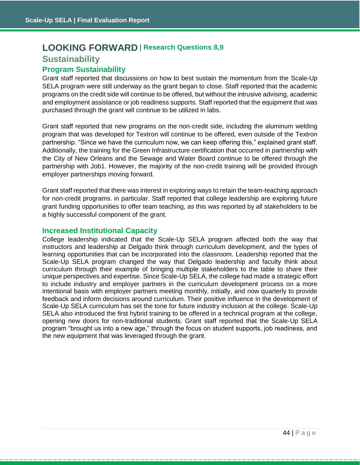## <span id="page-44-1"></span><span id="page-44-0"></span>**LOOKING FORWARD | Research Questions 8,9 Sustainability**

## **Program Sustainability**

Grant staff reported that discussions on how to best sustain the momentum from the Scale-Up SELA program were still underway as the grant began to close. Staff reported that the academic programs on the credit side will continue to be offered, but without the intrusive advising, academic and employment assistance or job readiness supports. Staff reported that the equipment that was purchased through the grant will continue to be utilized in labs.

Grant staff reported that new programs on the non-credit side, including the aluminum welding program that was developed for Textron will continue to be offered, even outside of the Textron partnership. "Since we have the curriculum now, we can keep offering this," explained grant staff. Additionally, the training for the Green Infrastructure certification that occurred in partnership with the City of New Orleans and the Sewage and Water Board continue to be offered through the partnership with Job1. However, the majority of the non-credit training will be provided through employer partnerships moving forward.

Grant staff reported that there was interest in exploring ways to retain the team-teaching approach for non-credit programs. in particular. Staff reported that college leadership are exploring future grant funding opportunities to offer team teaching, as this was reported by all stakeholders to be a highly successful component of the grant.

## **Increased Institutional Capacity**

College leadership indicated that the Scale-Up SELA program affected both the way that instructors and leadership at Delgado think through curriculum development, and the types of learning opportunities that can be incorporated into the classroom. Leadership reported that the Scale-Up SELA program changed the way that Delgado leadership and faculty think about curriculum through their example of bringing multiple stakeholders to the table to share their unique perspectives and expertise. Since Scale-Up SELA, the college had made a strategic effort to include industry and employer partners in the curriculum development process on a more intentional basis with employer partners meeting monthly, initially, and now quarterly to provide feedback and inform decisions around curriculum. Their positive influence in the development of Scale-Up SELA curriculum has set the tone for future industry inclusion at the college. Scale-Up SELA also introduced the first hybrid training to be offered in a technical program at the college, opening new doors for non-traditional students. Grant staff reported that the Scale-Up SELA program "brought us into a new age," through the focus on student supports, job readiness, and the new equipment that was leveraged through the grant.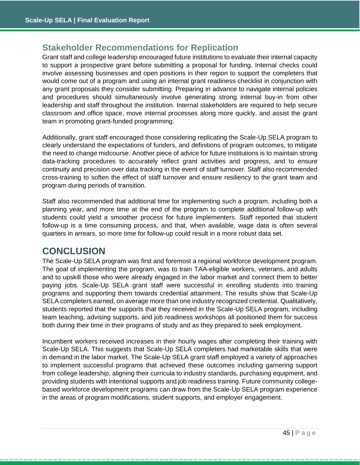## <span id="page-45-0"></span>**Stakeholder Recommendations for Replication**

Grant staff and college leadership encouraged future institutions to evaluate their internal capacity to support a prospective grant before submitting a proposal for funding. Internal checks could involve assessing businesses and open positions in their region to support the completers that would come out of a program and using an internal grant readiness checklist in conjunction with any grant proposals they consider submitting. Preparing in advance to navigate internal policies and procedures should simultaneously involve generating strong internal buy-in from other leadership and staff throughout the institution. Internal stakeholders are required to help secure classroom and office space, move internal processes along more quickly, and assist the grant team in promoting grant-funded programming.

Additionally, grant staff encouraged those considering replicating the Scale-Up SELA program to clearly understand the expectations of funders, and definitions of program outcomes, to mitigate the need to change midcourse. Another piece of advice for future institutions is to maintain strong data-tracking procedures to accurately reflect grant activities and progress, and to ensure continuity and precision over data tracking in the event of staff turnover. Staff also recommended cross-training to soften the effect of staff turnover and ensure resiliency to the grant team and program during periods of transition.

Staff also recommended that additional time for implementing such a program, including both a planning year, and more time at the end of the program to complete additional follow-up with students could yield a smoother process for future implementers. Staff reported that student follow-up is a time consuming process, and that, when available, wage data is often several quarters in arrears, so more time for follow-up could result in a more robust data set.

## <span id="page-45-1"></span>**CONCLUSION**

The Scale-Up SELA program was first and foremost a regional workforce development program. The goal of implementing the program, was to train TAA-eligible workers, veterans, and adults and to upskill those who were already engaged in the labor market and connect them to better paying jobs. Scale-Up SELA grant staff were successful in enrolling students into training programs and supporting them towards credential attainment. The results show that Scale-Up SELA completers earned, on average more than one industry recognized credential. Qualitatively, students reported that the supports that they received in the Scale-Up SELA program, including team teaching, advising supports, and job readiness workshops all positioned them for success both during their time in their programs of study and as they prepared to seek employment.

Incumbent workers received increases in their hourly wages after completing their training with Scale-Up SELA. This suggests that Scale-Up SELA completers had marketable skills that were in demand in the labor market. The Scale-Up SELA grant staff employed a variety of approaches to implement successful programs that achieved these outcomes including garnering support from college leadership, aligning their curricula to industry standards, purchasing equipment, and providing students with intentional supports and job readiness training. Future community collegebased workforce development programs can draw from the Scale-Up SELA program experience in the areas of program modifications, student supports, and employer engagement.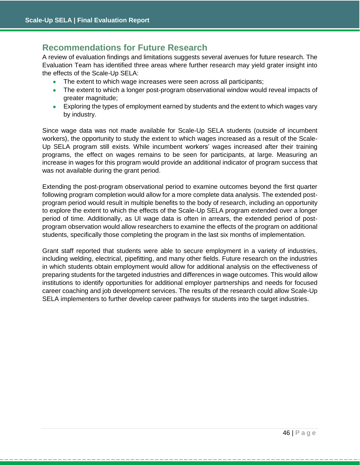## **Recommendations for Future Research**

A review of evaluation findings and limitations suggests several avenues for future research. The Evaluation Team has identified three areas where further research may yield grater insight into the effects of the Scale-Up SELA:

- The extent to which wage increases were seen across all participants;
- The extent to which a longer post-program observational window would reveal impacts of greater magnitude;
- Exploring the types of employment earned by students and the extent to which wages vary by industry.

Since wage data was not made available for Scale-Up SELA students (outside of incumbent workers), the opportunity to study the extent to which wages increased as a result of the Scale-Up SELA program still exists. While incumbent workers' wages increased after their training programs, the effect on wages remains to be seen for participants, at large. Measuring an increase in wages for this program would provide an additional indicator of program success that was not available during the grant period.

Extending the post-program observational period to examine outcomes beyond the first quarter following program completion would allow for a more complete data analysis. The extended postprogram period would result in multiple benefits to the body of research, including an opportunity to explore the extent to which the effects of the Scale-Up SELA program extended over a longer period of time. Additionally, as UI wage data is often in arrears, the extended period of postprogram observation would allow researchers to examine the effects of the program on additional students, specifically those completing the program in the last six months of implementation.

Grant staff reported that students were able to secure employment in a variety of industries, including welding, electrical, pipefitting, and many other fields. Future research on the industries in which students obtain employment would allow for additional analysis on the effectiveness of preparing students for the targeted industries and differences in wage outcomes. This would allow institutions to identify opportunities for additional employer partnerships and needs for focused career coaching and job development services. The results of the research could allow Scale-Up SELA implementers to further develop career pathways for students into the target industries.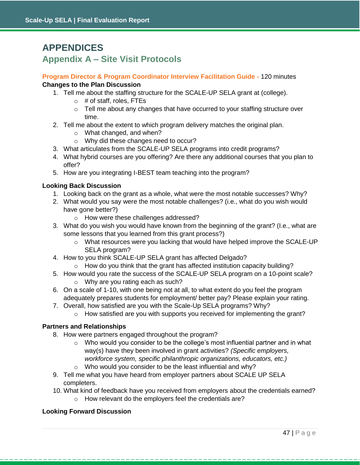## <span id="page-47-0"></span>**APPENDICES**

## <span id="page-47-1"></span>**Appendix A – Site Visit Protocols**

**Program Director & Program Coordinator Interview Facilitation Guide -** 120 minutes **Changes to the Plan Discussion** 

- 1. Tell me about the staffing structure for the SCALE-UP SELA grant at (college).
	- $\circ$  # of staff, roles, FTEs
	- $\circ$  Tell me about any changes that have occurred to your staffing structure over time.
- 2. Tell me about the extent to which program delivery matches the original plan.
	- o What changed, and when?
	- o Why did these changes need to occur?
- 3. What articulates from the SCALE-UP SELA programs into credit programs?
- 4. What hybrid courses are you offering? Are there any additional courses that you plan to offer?
- 5. How are you integrating I-BEST team teaching into the program?

## **Looking Back Discussion**

- 1. Looking back on the grant as a whole, what were the most notable successes? Why?
- 2. What would you say were the most notable challenges? (i.e., what do you wish would have gone better?)
	- o How were these challenges addressed?
- 3. What do you wish you would have known from the beginning of the grant? (I.e., what are some lessons that you learned from this grant process?)
	- $\circ$  What resources were you lacking that would have helped improve the SCALE-UP SELA program?
- 4. How to you think SCALE-UP SELA grant has affected Delgado?
	- o How do you think that the grant has affected institution capacity building?
- 5. How would you rate the success of the SCALE-UP SELA program on a 10-point scale? o Why are you rating each as such?
- 6. On a scale of 1-10, with one being not at all, to what extent do you feel the program adequately prepares students for employment/ better pay? Please explain your rating.
- 7. Overall, how satisfied are you with the Scale-Up SELA programs? Why?
	- $\circ$  How satisfied are you with supports you received for implementing the grant?

## **Partners and Relationships**

- 8. How were partners engaged throughout the program?
	- $\circ$  Who would you consider to be the college's most influential partner and in what way(s) have they been involved in grant activities? *(Specific employers, workforce system, specific philanthropic organizations, educators, etc.)*
	- o Who would you consider to be the least influential and why?
- 9. Tell me what you have heard from employer partners about SCALE UP SELA completers.
- 10. What kind of feedback have you received from employers about the credentials earned?
	- o How relevant do the employers feel the credentials are?

## **Looking Forward Discussion**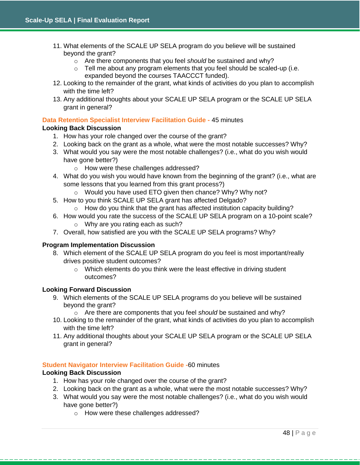- 11. What elements of the SCALE UP SELA program do you believe will be sustained beyond the grant?
	- o Are there components that you feel *should* be sustained and why?
	- $\circ$  Tell me about any program elements that you feel should be scaled-up (i.e. expanded beyond the courses TAACCCT funded).
- 12. Looking to the remainder of the grant, what kinds of activities do you plan to accomplish with the time left?
- 13. Any additional thoughts about your SCALE UP SELA program or the SCALE UP SELA grant in general?

## **Data Retention Specialist Interview Facilitation Guide -** 45 minutes

## **Looking Back Discussion**

- 1. How has your role changed over the course of the grant?
- 2. Looking back on the grant as a whole, what were the most notable successes? Why?
- 3. What would you say were the most notable challenges? (i.e., what do you wish would have gone better?)
	- o How were these challenges addressed?
- 4. What do you wish you would have known from the beginning of the grant? (i.e., what are some lessons that you learned from this grant process?)
	- o Would you have used ETO given then chance? Why? Why not?
- 5. How to you think SCALE UP SELA grant has affected Delgado?
	- o How do you think that the grant has affected institution capacity building?
- 6. How would you rate the success of the SCALE UP SELA program on a 10-point scale? o Why are you rating each as such?
- 7. Overall, how satisfied are you with the SCALE UP SELA programs? Why?

#### **Program Implementation Discussion**

- 8. Which element of the SCALE UP SELA program do you feel is most important/really drives positive student outcomes?
	- o Which elements do you think were the least effective in driving student outcomes?

#### **Looking Forward Discussion**

- 9. Which elements of the SCALE UP SELA programs do you believe will be sustained beyond the grant?
	- o Are there are components that you feel *should* be sustained and why?
- 10. Looking to the remainder of the grant, what kinds of activities do you plan to accomplish with the time left?
- 11. Any additional thoughts about your SCALE UP SELA program or the SCALE UP SELA grant in general?

## **Student Navigator Interview Facilitation Guide -**60 minutes

## **Looking Back Discussion**

- 1. How has your role changed over the course of the grant?
- 2. Looking back on the grant as a whole, what were the most notable successes? Why?
- 3. What would you say were the most notable challenges? (i.e., what do you wish would have gone better?)
	- o How were these challenges addressed?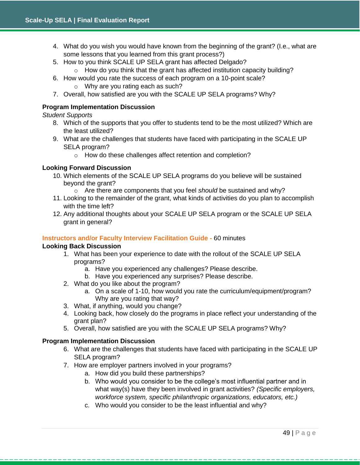- 4. What do you wish you would have known from the beginning of the grant? (I.e., what are some lessons that you learned from this grant process?)
- 5. How to you think SCALE UP SELA grant has affected Delgado?
	- o How do you think that the grant has affected institution capacity building?
- 6. How would you rate the success of each program on a 10-point scale? o Why are you rating each as such?
- 7. Overall, how satisfied are you with the SCALE UP SELA programs? Why?

#### **Program Implementation Discussion**

*Student Supports* 

- 8. Which of the supports that you offer to students tend to be the most utilized? Which are the least utilized?
- 9. What are the challenges that students have faced with participating in the SCALE UP SELA program?
	- o How do these challenges affect retention and completion?

## **Looking Forward Discussion**

- 10. Which elements of the SCALE UP SELA programs do you believe will be sustained beyond the grant?
	- o Are there are components that you feel *should* be sustained and why?
- 11. Looking to the remainder of the grant, what kinds of activities do you plan to accomplish with the time left?
- 12. Any additional thoughts about your SCALE UP SELA program or the SCALE UP SELA grant in general?

## **Instructors and/or Faculty Interview Facilitation Guide -** 60 minutes

#### **Looking Back Discussion**

- 1. What has been your experience to date with the rollout of the SCALE UP SELA programs?
	- a. Have you experienced any challenges? Please describe.
	- b. Have you experienced any surprises? Please describe.
- 2. What do you like about the program?
	- a. On a scale of 1-10, how would you rate the curriculum/equipment/program? Why are you rating that way?
- 3. What, if anything, would you change?
- 4. Looking back, how closely do the programs in place reflect your understanding of the grant plan?
- 5. Overall, how satisfied are you with the SCALE UP SELA programs? Why?

#### **Program Implementation Discussion**

- 6. What are the challenges that students have faced with participating in the SCALE UP SELA program?
- 7. How are employer partners involved in your programs?
	- a. How did you build these partnerships?
	- b. Who would you consider to be the college's most influential partner and in what way(s) have they been involved in grant activities? *(Specific employers, workforce system, specific philanthropic organizations, educators, etc.)*
	- c. Who would you consider to be the least influential and why?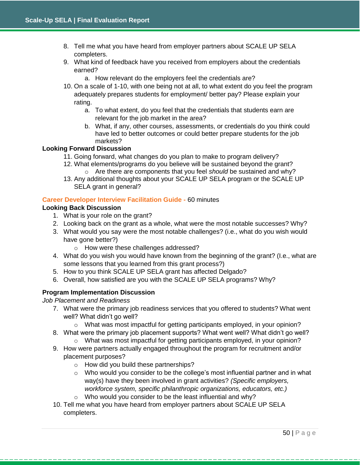- 8. Tell me what you have heard from employer partners about SCALE UP SELA completers.
- 9. What kind of feedback have you received from employers about the credentials earned?
	- a. How relevant do the employers feel the credentials are?
- 10. On a scale of 1-10, with one being not at all, to what extent do you feel the program adequately prepares students for employment/ better pay? Please explain your rating.
	- a. To what extent, do you feel that the credentials that students earn are relevant for the job market in the area?
	- b. What, if any, other courses, assessments, or credentials do you think could have led to better outcomes or could better prepare students for the job markets?

## **Looking Forward Discussion**

- 11. Going forward, what changes do you plan to make to program delivery?
- 12. What elements/programs do you believe will be sustained beyond the grant? o Are there are components that you feel *should* be sustained and why?
- 13. Any additional thoughts about your SCALE UP SELA program or the SCALE UP SELA grant in general?

## **Career Developer Interview Facilitation Guide -** 60 minutes

## **Looking Back Discussion**

- 1. What is your role on the grant?
- 2. Looking back on the grant as a whole, what were the most notable successes? Why?
- 3. What would you say were the most notable challenges? (i.e., what do you wish would have gone better?)
	- o How were these challenges addressed?
- 4. What do you wish you would have known from the beginning of the grant? (I.e., what are some lessons that you learned from this grant process?)
- 5. How to you think SCALE UP SELA grant has affected Delgado?
- 6. Overall, how satisfied are you with the SCALE UP SELA programs? Why?

## **Program Implementation Discussion**

#### *Job Placement and Readiness*

- 7. What were the primary job readiness services that you offered to students? What went well? What didn't go well?
	- $\circ$  What was most impactful for getting participants employed, in your opinion?
- 8. What were the primary job placement supports? What went well? What didn't go well?
	- $\circ$  What was most impactful for getting participants employed, in your opinion?
- 9. How were partners actually engaged throughout the program for recruitment and/or placement purposes?
	- o How did you build these partnerships?
	- o Who would you consider to be the college's most influential partner and in what way(s) have they been involved in grant activities? *(Specific employers, workforce system, specific philanthropic organizations, educators, etc.)*
	- o Who would you consider to be the least influential and why?
- 10. Tell me what you have heard from employer partners about SCALE UP SELA completers.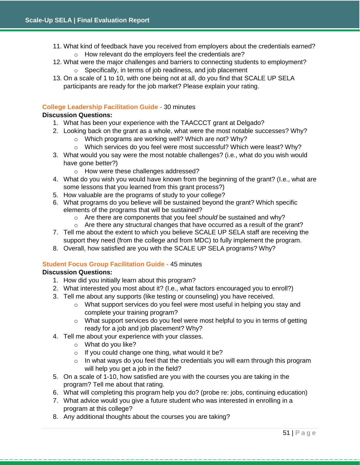- 11. What kind of feedback have you received from employers about the credentials earned? o How relevant do the employers feel the credentials are?
- 12. What were the major challenges and barriers to connecting students to employment?
	- o Specifically, in terms of job readiness, and job placement
- 13. On a scale of 1 to 10, with one being not at all, do you find that SCALE UP SELA participants are ready for the job market? Please explain your rating.

## **College Leadership Facilitation Guide -** 30 minutes

## **Discussion Questions:**

- 1. What has been your experience with the TAACCCT grant at Delgado?
- 2. Looking back on the grant as a whole, what were the most notable successes? Why?
	- o Which programs are working well? Which are not? Why?
	- o Which services do you feel were most successful? Which were least? Why?
- 3. What would you say were the most notable challenges? (i.e., what do you wish would have gone better?)
	- o How were these challenges addressed?
- 4. What do you wish you would have known from the beginning of the grant? (I.e., what are some lessons that you learned from this grant process?)
- 5. How valuable are the programs of study to your college?
- 6. What programs do you believe will be sustained beyond the grant? Which specific elements of the programs that will be sustained?
	- o Are there are components that you feel *should* be sustained and why?
	- $\circ$  Are there any structural changes that have occurred as a result of the grant?
- 7. Tell me about the extent to which you believe SCALE UP SELA staff are receiving the support they need (from the college and from MDC) to fully implement the program.
- 8. Overall, how satisfied are you with the SCALE UP SELA programs? Why?

#### **Student Focus Group Facilitation Guide -** 45 minutes

## **Discussion Questions:**

- 1. How did you initially learn about this program?
- 2. What interested you most about it? (I.e., what factors encouraged you to enroll?)
- 3. Tell me about any supports (like testing or counseling) you have received.
	- o What support services do you feel were most useful in helping you stay and complete your training program?
	- o What support services do you feel were most helpful to you in terms of getting ready for a job and job placement? Why?
- 4. Tell me about your experience with your classes.
	- o What do you like?
	- o If you could change one thing, what would it be?
	- $\circ$  In what ways do you feel that the credentials you will earn through this program will help you get a job in the field?
- 5. On a scale of 1-10, how satisfied are you with the courses you are taking in the program? Tell me about that rating.
- 6. What will completing this program help you do? (probe re: jobs, continuing education)
- 7. What advice would you give a future student who was interested in enrolling in a program at this college?
- 8. Any additional thoughts about the courses you are taking?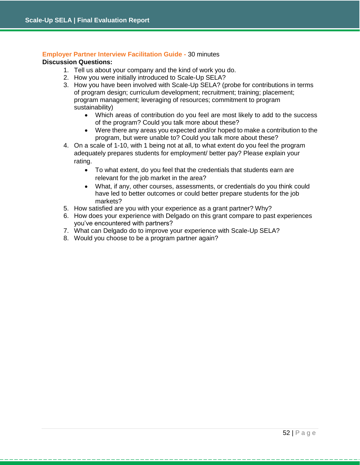## **Employer Partner Interview Facilitation Guide -** 30 minutes

#### **Discussion Questions:**

- 1. Tell us about your company and the kind of work you do.
- 2. How you were initially introduced to Scale-Up SELA?
- 3. How you have been involved with Scale-Up SELA? (probe for contributions in terms of program design; curriculum development; recruitment; training; placement; program management; leveraging of resources; commitment to program sustainability)
	- Which areas of contribution do you feel are most likely to add to the success of the program? Could you talk more about these?
	- Were there any areas you expected and/or hoped to make a contribution to the program, but were unable to? Could you talk more about these?
- 4. On a scale of 1-10, with 1 being not at all, to what extent do you feel the program adequately prepares students for employment/ better pay? Please explain your rating.
	- To what extent, do you feel that the credentials that students earn are relevant for the job market in the area?
	- What, if any, other courses, assessments, or credentials do you think could have led to better outcomes or could better prepare students for the job markets?
- 5. How satisfied are you with your experience as a grant partner? Why?
- 6. How does your experience with Delgado on this grant compare to past experiences you've encountered with partners?
- 7. What can Delgado do to improve your experience with Scale-Up SELA?
- 8. Would you choose to be a program partner again?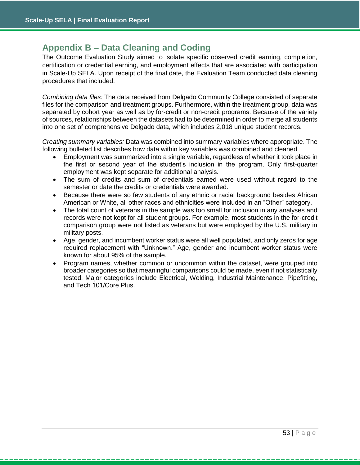## <span id="page-53-0"></span>**Appendix B – Data Cleaning and Coding**

The Outcome Evaluation Study aimed to isolate specific observed credit earning, completion, certification or credential earning, and employment effects that are associated with participation in Scale-Up SELA. Upon receipt of the final date, the Evaluation Team conducted data cleaning procedures that included:

*Combining data files:* The data received from Delgado Community College consisted of separate files for the comparison and treatment groups. Furthermore, within the treatment group, data was separated by cohort year as well as by for-credit or non-credit programs. Because of the variety of sources, relationships between the datasets had to be determined in order to merge all students into one set of comprehensive Delgado data, which includes 2,018 unique student records.

*Creating summary variables:* Data was combined into summary variables where appropriate. The following bulleted list describes how data within key variables was combined and cleaned.

- Employment was summarized into a single variable, regardless of whether it took place in the first or second year of the student's inclusion in the program. Only first-quarter employment was kept separate for additional analysis.
- The sum of credits and sum of credentials earned were used without regard to the semester or date the credits or credentials were awarded.
- Because there were so few students of any ethnic or racial background besides African American or White, all other races and ethnicities were included in an "Other" category.
- The total count of veterans in the sample was too small for inclusion in any analyses and records were not kept for all student groups. For example, most students in the for-credit comparison group were not listed as veterans but were employed by the U.S. military in military posts.
- Age, gender, and incumbent worker status were all well populated, and only zeros for age required replacement with "Unknown." Age, gender and incumbent worker status were known for about 95% of the sample.
- Program names, whether common or uncommon within the dataset, were grouped into broader categories so that meaningful comparisons could be made, even if not statistically tested. Major categories include Electrical, Welding, Industrial Maintenance, Pipefitting, and Tech 101/Core Plus.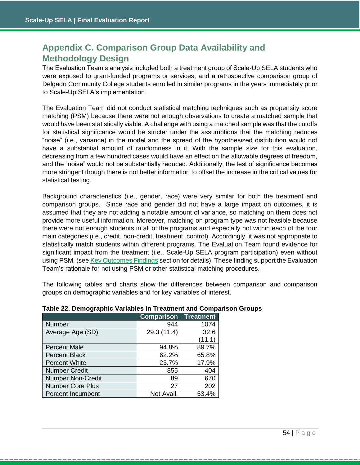## <span id="page-54-0"></span>**Appendix C. Comparison Group Data Availability and Methodology Design**

The Evaluation Team's analysis included both a treatment group of Scale-Up SELA students who were exposed to grant-funded programs or services, and a retrospective comparison group of Delgado Community College students enrolled in similar programs in the years immediately prior to Scale-Up SELA's implementation.

The Evaluation Team did not conduct statistical matching techniques such as propensity score matching (PSM) because there were not enough observations to create a matched sample that would have been statistically viable. A challenge with using a matched sample was that the cutoffs for statistical significance would be stricter under the assumptions that the matching reduces "noise" (i.e., variance) in the model and the spread of the hypothesized distribution would not have a substantial amount of randomness in it. With the sample size for this evaluation, decreasing from a few hundred cases would have an effect on the allowable degrees of freedom, and the "noise" would not be substantially reduced. Additionally, the test of significance becomes more stringent though there is not better information to offset the increase in the critical values for statistical testing.

Background characteristics (i.e., gender, race) were very similar for both the treatment and comparison groups. Since race and gender did not have a large impact on outcomes, it is assumed that they are not adding a notable amount of variance, so matching on them does not provide more useful information. Moreover, matching on program type was not feasible because there were not enough students in all of the programs and especially not within each of the four main categories (i.e., credit, non-credit, treatment, control). Accordingly, it was not appropriate to statistically match students within different programs. The Evaluation Team found evidence for significant impact from the treatment (i.e., Scale-Up SELA program participation) even without using PSM, (se[e Key Outcomes Findings](#page-38-0) section for details). These finding support the Evaluation Team's rationale for not using PSM or other statistical matching procedures.

The following tables and charts show the differences between comparison and comparison groups on demographic variables and for key variables of interest.

|                          | <b>Comparison</b> | <b>Treatment</b> |
|--------------------------|-------------------|------------------|
| Number                   | 944               | 1074             |
| Average Age (SD)         | 29.3 (11.4)       | 32.6             |
|                          |                   | (11.1)           |
| <b>Percent Male</b>      | 94.8%             | 89.7%            |
| <b>Percent Black</b>     | 62.2%             | 65.8%            |
| <b>Percent White</b>     | 23.7%             | 17.9%            |
| <b>Number Credit</b>     | 855               | 404              |
| <b>Number Non-Credit</b> | 89                | 670              |
| <b>Number Core Plus</b>  | 27                | 202              |
| Percent Incumbent        | Not Avail.        | 53.4%            |

#### **Table 22. Demographic Variables in Treatment and Comparison Groups**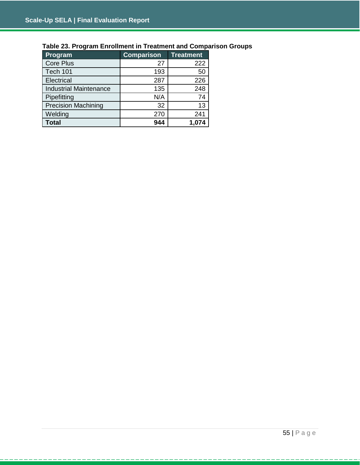| Program                       | <b>Comparison</b> | <b>Treatment</b> |
|-------------------------------|-------------------|------------------|
| <b>Core Plus</b>              | 27                | 222              |
| Tech 101                      | 193               | 50               |
| Electrical                    | 287               | 226              |
| <b>Industrial Maintenance</b> | 135               | 248              |
| Pipefitting                   | N/A               | 74               |
| <b>Precision Machining</b>    | 32                | 13               |
| Welding                       | 270               | 241              |
| <b>Total</b>                  | 944               | 1,074            |

## **Table 23. Program Enrollment in Treatment and Comparison Groups**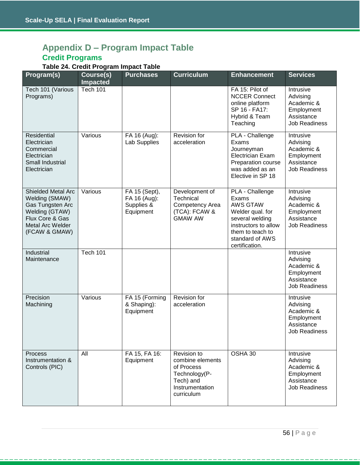## <span id="page-56-0"></span>**Appendix D – Program Impact Table Credit Programs**

## **Table 24. Credit Program Impact Table**

| Program(s)                                                                                                                                       | Course(s)<br><b>Impacted</b> | <b>Purchases</b>                                         | <b>Curriculum</b>                                                                                            | <b>Enhancement</b>                                                                                                                                                  | <b>Services</b>                                                                         |
|--------------------------------------------------------------------------------------------------------------------------------------------------|------------------------------|----------------------------------------------------------|--------------------------------------------------------------------------------------------------------------|---------------------------------------------------------------------------------------------------------------------------------------------------------------------|-----------------------------------------------------------------------------------------|
| Tech 101 (Various<br>Programs)                                                                                                                   | <b>Tech 101</b>              |                                                          |                                                                                                              | FA 15: Pilot of<br><b>NCCER Connect</b><br>online platform<br>SP 16 - FA17:<br>Hybrid & Team<br>Teaching                                                            | Intrusive<br>Advising<br>Academic &<br>Employment<br>Assistance<br><b>Job Readiness</b> |
| Residential<br>Electrician<br>Commercial<br>Electrician<br>Small Industrial<br>Electrician                                                       | Various                      | FA 16 (Aug):<br>Lab Supplies                             | Revision for<br>acceleration                                                                                 | PLA - Challenge<br>Exams<br>Journeyman<br><b>Electrician Exam</b><br>Preparation course<br>was added as an<br>Elective in SP 18                                     | Intrusive<br>Advising<br>Academic &<br>Employment<br>Assistance<br><b>Job Readiness</b> |
| <b>Shielded Metal Arc</b><br>Welding (SMAW)<br>Gas Tungsten Arc<br>Welding (GTAW)<br>Flux Core & Gas<br><b>Metal Arc Welder</b><br>(FCAW & GMAW) | Various                      | FA 15 (Sept),<br>FA 16 (Aug):<br>Supplies &<br>Equipment | Development of<br>Technical<br>Competency Area<br>(TCA): FCAW &<br><b>GMAW AW</b>                            | PLA - Challenge<br>Exams<br><b>AWS GTAW</b><br>Welder qual. for<br>several welding<br>instructors to allow<br>them to teach to<br>standard of AWS<br>certification. | Intrusive<br>Advising<br>Academic &<br>Employment<br>Assistance<br><b>Job Readiness</b> |
| Industrial<br>Maintenance                                                                                                                        | <b>Tech 101</b>              |                                                          |                                                                                                              |                                                                                                                                                                     | Intrusive<br>Advising<br>Academic &<br>Employment<br>Assistance<br><b>Job Readiness</b> |
| Precision<br>Machining                                                                                                                           | Various                      | FA 15 (Forming<br>& Shaping):<br>Equipment               | Revision for<br>acceleration                                                                                 |                                                                                                                                                                     | Intrusive<br>Advising<br>Academic &<br>Employment<br>Assistance<br>Job Readiness        |
| Process<br>Instrumentation &<br>Controls (PIC)                                                                                                   | All                          | FA 15, FA 16:<br>Equipment                               | Revision to<br>combine elements<br>of Process<br>Technology(P-<br>Tech) and<br>Instrumentation<br>curriculum | OSHA 30                                                                                                                                                             | Intrusive<br>Advising<br>Academic &<br>Employment<br>Assistance<br><b>Job Readiness</b> |

---------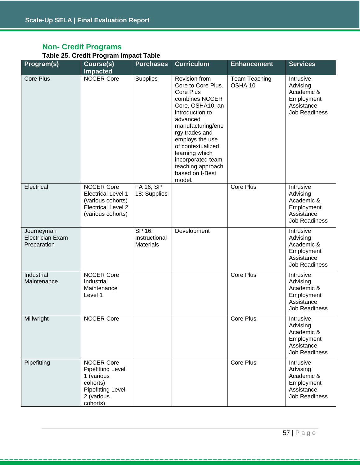## **Non- Credit Programs**

#### **Table 25. Credit Program Impact Table**

| Program(s)                                           | Course(s)<br><b>Impacted</b>                                                                                                  | <b>Purchases</b>                            | <b>Curriculum</b>                                                                                                                                                                                                                                                                                    | <b>Enhancement</b>       | <b>Services</b>                                                                         |
|------------------------------------------------------|-------------------------------------------------------------------------------------------------------------------------------|---------------------------------------------|------------------------------------------------------------------------------------------------------------------------------------------------------------------------------------------------------------------------------------------------------------------------------------------------------|--------------------------|-----------------------------------------------------------------------------------------|
| <b>Core Plus</b>                                     | <b>NCCER Core</b>                                                                                                             | Supplies                                    | Revision from<br>Core to Core Plus.<br><b>Core Plus</b><br>combines NCCER<br>Core, OSHA10, an<br>introduction to<br>advanced<br>manufacturing/ene<br>rgy trades and<br>employs the use<br>of contextualized<br>learning which<br>incorporated team<br>teaching approach<br>based on I-Best<br>model. | Team Teaching<br>OSHA 10 | Intrusive<br>Advising<br>Academic &<br>Employment<br>Assistance<br><b>Job Readiness</b> |
| Electrical                                           | <b>NCCER Core</b><br><b>Electrical Level 1</b><br>(various cohorts)<br><b>Electrical Level 2</b><br>(various cohorts)         | FA 16, SP<br>18: Supplies                   |                                                                                                                                                                                                                                                                                                      | Core Plus                | Intrusive<br>Advising<br>Academic &<br>Employment<br>Assistance<br><b>Job Readiness</b> |
| Journeyman<br><b>Electrician Exam</b><br>Preparation |                                                                                                                               | SP 16:<br>Instructional<br><b>Materials</b> | Development                                                                                                                                                                                                                                                                                          |                          | Intrusive<br>Advising<br>Academic &<br>Employment<br>Assistance<br><b>Job Readiness</b> |
| Industrial<br>Maintenance                            | <b>NCCER Core</b><br>Industrial<br>Maintenance<br>Level 1                                                                     |                                             |                                                                                                                                                                                                                                                                                                      | <b>Core Plus</b>         | Intrusive<br>Advising<br>Academic &<br>Employment<br>Assistance<br><b>Job Readiness</b> |
| Millwright                                           | <b>NCCER Core</b>                                                                                                             |                                             |                                                                                                                                                                                                                                                                                                      | Core Plus                | Intrusive<br>Advising<br>Academic &<br>Employment<br>Assistance<br><b>Job Readiness</b> |
| Pipefitting                                          | <b>NCCER Core</b><br><b>Pipefitting Level</b><br>1 (various<br>cohorts)<br><b>Pipefitting Level</b><br>2 (various<br>cohorts) |                                             |                                                                                                                                                                                                                                                                                                      | Core Plus                | Intrusive<br>Advising<br>Academic &<br>Employment<br>Assistance<br><b>Job Readiness</b> |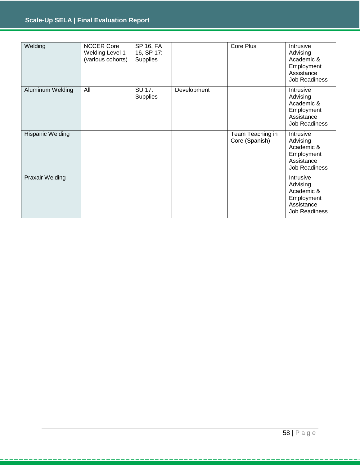## **Scale-Up SELA | Final Evaluation Report**

| Welding                 | <b>NCCER Core</b><br>Welding Level 1<br>(various cohorts) | SP 16, FA<br>16, SP 17:<br>Supplies |             | Core Plus                          | Intrusive<br>Advising<br>Academic &<br>Employment<br>Assistance<br>Job Readiness        |
|-------------------------|-----------------------------------------------------------|-------------------------------------|-------------|------------------------------------|-----------------------------------------------------------------------------------------|
| Aluminum Welding        | All                                                       | SU 17:<br><b>Supplies</b>           | Development |                                    | Intrusive<br>Advising<br>Academic &<br>Employment<br>Assistance<br>Job Readiness        |
| <b>Hispanic Welding</b> |                                                           |                                     |             | Team Teaching in<br>Core (Spanish) | Intrusive<br>Advising<br>Academic &<br>Employment<br>Assistance<br><b>Job Readiness</b> |
| <b>Praxair Welding</b>  |                                                           |                                     |             |                                    | Intrusive<br>Advising<br>Academic &<br>Employment<br>Assistance<br><b>Job Readiness</b> |